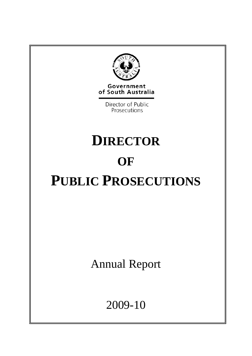

Government of South Australia

> Director of Public Prosecutions

# **DIRECTOR OF PUBLIC PROSECUTIONS**

Annual Report

2009-10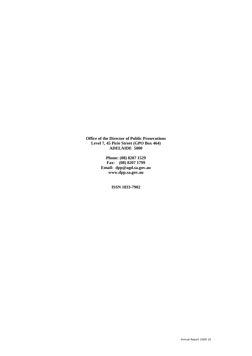**Office of the Director of Public Prosecutions Level 7, 45 Pirie Street (GPO Box 464) ADELAIDE 5000** 

> **Phone: (08) 8207 1529 Fax: (08) 8207 1799 Email: dpp@agd.sa.gov.au www.dpp.sa.gov.au**

> > **ISSN 1833-7902**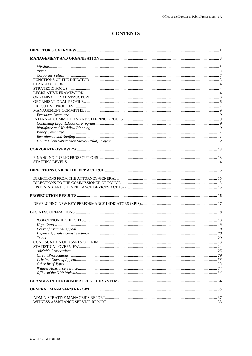### **CONTENTS**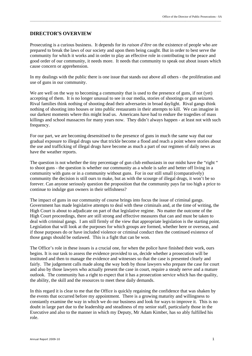#### **DIRECTOR'S OVERVIEW**

Prosecuting is a curious business. It depends for its *raison d'être* on the existence of people who are prepared to break the laws of our society and upon them being caught. But in order to best serve the community for which it works and in order to play an effective role in contributing to the peace and good order of our community, it needs more. It needs that community to speak out about issues which cause concern or apprehension.

\_\_\_\_\_\_\_\_\_\_\_\_\_\_\_\_\_\_\_\_\_\_\_\_\_\_\_\_\_\_\_\_\_\_\_\_\_\_\_\_\_\_\_\_\_\_\_\_\_\_\_\_\_\_\_\_\_\_\_\_\_\_\_\_\_\_\_\_\_\_\_\_\_\_\_\_\_\_\_\_\_\_\_\_\_\_\_\_\_\_\_\_\_\_\_\_\_\_\_\_\_\_\_\_\_\_\_\_\_\_\_\_\_\_\_\_\_\_\_\_\_\_\_\_\_\_\_\_\_

In my dealings with the public there is one issue that stands out above all others - the proliferation and use of guns in our community.

We are well on the way to becoming a community that is used to the presence of guns, if not (yet) accepting of them. It is no longer unusual to see in our media, stories of shootings or gun seizures. Rival families think nothing of shooting dead their adversaries in broad daylight. Rival gangs think nothing of shooting into houses or into public restaurants in their attempts to kill. We can imagine in our darkest moments where this might lead us. Americans have had to endure the tragedies of mass killings and school massacres for many years now. They didn't always happen - at least not with such frequency.

For our part, we are becoming desensitised to the presence of guns in much the same way that our gradual exposure to illegal drugs saw that trickle become a flood and reach a point where stories about the use and trafficking of illegal drugs have become as much a part of our regimen of daily news as have the weather reports.

The question is not whether the tiny percentage of gun club enthusiasts in our midst have the "right " to shoot guns - the question is whether our community as a whole is safer and better off living in a community with guns or in a community without guns. For in our still small (comparatively) community the decision is still ours to make, but as with the scourge of illegal drugs, it won't be so forever. Can anyone seriously question the proposition that the community pays far too high a price to continue to indulge gun owners in their selfishness?

The impact of guns in our community of course brings into focus the issue of criminal gangs. Government has made legislative attempts to deal with these criminals and, at the time of writing, the High Court is about to adjudicate on part of that legislative regime. No matter the outcome of the High Court proceedings, there are still strong and effective measures that can and must be taken to deal with criminal gangs. I am still firmly of the view that appropriate legislation is the starting point. Legislation that will look at the purposes for which groups are formed, whether here or overseas, and if those purposes do or have included violence or criminal conduct then the continued existence of those gangs should be outlawed. This is a fight that can be won.

The Office's role in these issues is a crucial one, for when the police have finished their work, ours begins. It is our task to assess the evidence provided to us, decide whether a prosecution will be instituted and then to manage the evidence and witnesses so that the case is presented clearly and fairly. The judgement calls made along the way both by those lawyers who prepare the case for court and also by those lawyers who actually present the case in court, require a steady nerve and a mature outlook. The community has a right to expect that it has a prosecution service which has the quality, the ability, the skill and the resources to meet these daily demands.

In this regard it is clear to me that the Office is quickly regaining the confidence that was shaken by the events that occurred before my appointment. There is a growing maturity and willingness to constantly examine the way in which we do our business and look for ways to improve it. This is no doubt in large part due to the leadership and steadiness of my senior staff, particularly those in the Executive and also to the manner in which my Deputy, Mr Adam Kimber, has so ably fulfilled his role.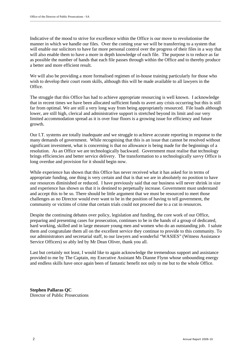Indicative of the mood to strive for excellence within the Office is our move to revolutionise the manner in which we handle our files. Over the coming year we will be transferring to a system that will enable our solicitors to have far more personal control over the progress of their files in a way that will also enable them to have a more in depth knowledge of each file. The purpose is to reduce as far as possible the number of hands that each file passes through within the Office and to thereby produce a better and more efficient result.

We will also be providing a more formalised regimen of in-house training particularly for those who wish to develop their court room skills, although this will be made available to all lawyers in the **Office** 

The struggle that this Office has had to achieve appropriate resourcing is well known. I acknowledge that in recent times we have been allocated sufficient funds to avert any crisis occurring but this is still far from optimal. We are still a very long way from being appropriately resourced. File loads although lower, are still high, clerical and administrative support is stretched beyond its limit and our very limited accommodation spread as it is over four floors is a growing issue for efficiency and future growth.

Our I.T. systems are totally inadequate and we struggle to achieve accurate reporting in response to the many demands of government. While recognising that this is an issue that cannot be resolved without significant investment, what is concerning is that no allowance is being made for the beginnings of a resolution. As an Office we are technologically backward. Government must realise that technology brings efficiencies and better service delivery. The transformation to a technologically savvy Office is long overdue and provision for it should begin now.

While experience has shown that this Office has never received what it has asked for in terms of appropriate funding, one thing is very certain and that is that we are in absolutely no position to have our resources diminished or reduced. I have previously said that our business will never shrink in size and experience has shown us that it is destined to perpetually increase. Government must understand and accept this to be so. There should be little argument that we must be resourced to meet those challenges as no Director would ever want to be in the position of having to tell government, the community or victims of crime that certain trials could not proceed due to a cut in resources.

Despite the continuing debates over policy, legislation and funding, the core work of our Office, preparing and presenting cases for prosecution, continues to be in the hands of a group of dedicated, hard working, skilled and in large measure young men and women who do an outstanding job. I salute them and congratulate them all on the excellent service they continue to provide to this community. To our administrators and secretarial staff, to our lawyers and wonderful "WASIES" (Witness Assistance Service Officers) so ably led by Mr Dean Oliver, thank you all.

Last but certainly not least, I would like to again acknowledge the tremendous support and assistance provided to me by The Captain, my Executive Assistant Ms Dianne Flynn whose unbounding energy and endless skills have once again been of fantastic benefit not only to me but to the whole Office.

**Stephen Pallaras QC**  Director of Public Prosecutions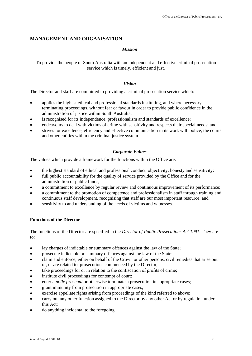#### **MANAGEMENT AND ORGANISATION**

#### *Mission*

To provide the people of South Australia with an independent and effective criminal prosecution service which is timely, efficient and just.

#### *Vision*

The Director and staff are committed to providing a criminal prosecution service which:

- applies the highest ethical and professional standards instituting, and where necessary terminating proceedings, without fear or favour in order to provide public confidence in the administration of justice within South Australia;
- is recognised for its independence, professionalism and standards of excellence;
- endeavours to deal with victims of crime with sensitivity and respects their special needs; and
- strives for excellence, efficiency and effective communication in its work with police, the courts and other entities within the criminal justice system.

#### *Corporate Values*

The values which provide a framework for the functions within the Office are:

- the highest standard of ethical and professional conduct, objectivity, honesty and sensitivity;
- full public accountability for the quality of service provided by the Office and for the administration of public funds;
- a commitment to excellence by regular review and continuous improvement of its performance;
- a commitment to the promotion of competence and professionalism in staff through training and continuous staff development, recognising that staff are our most important resource; and
- sensitivity to and understanding of the needs of victims and witnesses.

#### **Functions of the Director**

The functions of the Director are specified in the *Director of Public Prosecutions Act 1991.* They are to:

- lay charges of indictable or summary offences against the law of the State;
- prosecute indictable or summary offences against the law of the State;
- claim and enforce, either on behalf of the Crown or other persons, civil remedies that arise out of, or are related to, prosecutions commenced by the Director;
- take proceedings for or in relation to the confiscation of profits of crime;
- $\bullet$  institute civil proceedings for contempt of court;
- enter a *nolle prosequi* or otherwise terminate a prosecution in appropriate cases;
- grant immunity from prosecution in appropriate cases;
- exercise appellate rights arising from proceedings of the kind referred to above;
- carry out any other function assigned to the Director by any other Act or by regulation under this Act;
- do anything incidental to the foregoing.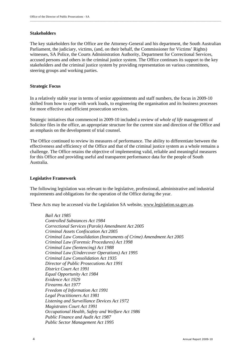#### **Stakeholders**

The key stakeholders for the Office are the Attorney-General and his department, the South Australian Parliament, the judiciary, victims, (and, on their behalf, the Commissioner for Victims' Rights) witnesses, SA Police, the Courts Administration Authority, Department for Correctional Services, accused persons and others in the criminal justice system. The Office continues its support to the key stakeholders and the criminal justice system by providing representation on various committees, steering groups and working parties.

#### **Strategic Focus**

In a relatively stable year in terms of senior appointments and staff numbers, the focus in 2009-10 shifted from how to cope with work loads, to engineering the organisation and its business processes for more effective and efficient prosecution services.

Strategic initiatives that commenced in 2009-10 included a review of *whole of life* management of Solicitor files in the office, an appropriate structure for the current size and direction of the Office and an emphasis on the development of trial counsel.

The Office continued to review its measures of performance. The ability to differentiate between the effectiveness and efficiency of the Office and that of the criminal justice system as a whole remains a challenge. The Office retains the objective of implementing valid, reliable and meaningful measures for this Office and providing useful and transparent performance data for the people of South Australia.

#### **Legislative Framework**

The following legislation was relevant to the legislative, professional, administrative and industrial requirements and obligations for the operation of the Office during the year.

These Acts may be accessed via the Legislation SA website, www.legislation.sa.gov.au.

*Bail Act 1985 Controlled Substances Act 1984 Correctional Services (Parole) Amendment Act 2005 Criminal Assets Confiscation Act 2005 Criminal Law Consolidation (Instruments of Crime) Amendment Act 2005 Criminal Law (Forensic Procedures) Act 1998 Criminal Law (Sentencing) Act 1988 Criminal Law (Undercover Operations) Act 1995 Criminal Law Consolidation Act 1935 Director of Public Prosecutions Act 1991 District Court Act 1991 Equal Opportunity Act 1984 Evidence Act 1929 Firearms Act 1977 Freedom of Information Act 1991 Legal Practitioners Act 1981 Listening and Surveillance Devices Act 1972 Magistrates Court Act 1991 Occupational Health, Safety and Welfare Act 1986 Public Finance and Audit Act 1987 Public Sector Management Act 1995*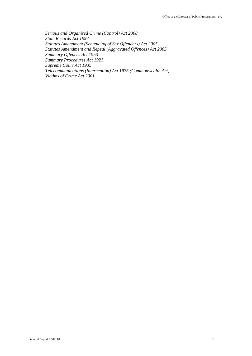*Serious and Organised Crime (Control) Act 2008 State Records Act 1997 Statutes Amendment (Sentencing of Sex Offenders) Act 2005 Statutes Amendment and Repeal (Aggravated Offences) Act 2005 Summary Offences Act 1953 Summary Procedures Act 1921 Supreme Court Act 1935 Telecommunications (Interception) Act 1975 (Commonwealth Act) Victims of Crime Act 2001*

\_\_\_\_\_\_\_\_\_\_\_\_\_\_\_\_\_\_\_\_\_\_\_\_\_\_\_\_\_\_\_\_\_\_\_\_\_\_\_\_\_\_\_\_\_\_\_\_\_\_\_\_\_\_\_\_\_\_\_\_\_\_\_\_\_\_\_\_\_\_\_\_\_\_\_\_\_\_\_\_\_\_\_\_\_\_\_\_\_\_\_\_\_\_\_\_\_\_\_\_\_\_\_\_\_\_\_\_\_\_\_\_\_\_\_\_\_\_\_\_\_\_\_\_\_\_\_\_\_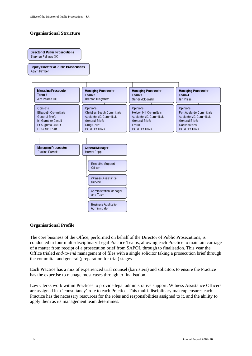#### **Organisational Structure**



\_\_\_\_\_\_\_\_\_\_\_\_\_\_\_\_\_\_\_\_\_\_\_\_\_\_\_\_\_\_\_\_\_\_\_\_\_\_\_\_\_\_\_\_\_\_\_\_\_\_\_\_\_\_\_\_\_\_\_\_\_\_\_\_\_\_\_\_\_\_\_\_\_\_\_\_\_\_\_\_\_\_\_\_\_\_\_\_\_\_\_\_\_\_\_\_\_\_\_\_\_\_\_\_\_\_\_\_\_\_\_\_\_\_\_\_\_\_\_\_\_\_\_\_\_\_\_\_\_

#### **Organisational Profile**

The core business of the Office, performed on behalf of the Director of Public Prosecutions, is conducted in four multi-disciplinary Legal Practice Teams, allowing each Practice to maintain carriage of a matter from receipt of a prosecution brief from SAPOL through to finalisation. This year the Office trialed *end-to-end* management of files with a single solicitor taking a prosecution brief through the committal and general (preparation for trial) stages.

Each Practice has a mix of experienced trial counsel (barristers) and solicitors to ensure the Practice has the expertise to manage most cases through to finalisation.

Law Clerks work within Practices to provide legal administrative support. Witness Assistance Officers are assigned in a 'consultancy' role to each Practice. This multi-disciplinary makeup ensures each Practice has the necessary resources for the roles and responsibilities assigned to it, and the ability to apply them as its management team determines.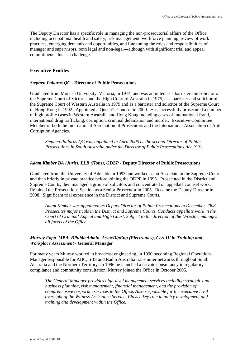The Deputy Director has a specific role in managing the non-prosecutorial affairs of the Office including occupational health and safety, risk management, workforce planning, review of work practices, emerging demands and opportunities, and fine tuning the roles and responsibilities of manager and supervisors, both legal and non-legal—although with significant trial and appeal commitments this is a challenge.

\_\_\_\_\_\_\_\_\_\_\_\_\_\_\_\_\_\_\_\_\_\_\_\_\_\_\_\_\_\_\_\_\_\_\_\_\_\_\_\_\_\_\_\_\_\_\_\_\_\_\_\_\_\_\_\_\_\_\_\_\_\_\_\_\_\_\_\_\_\_\_\_\_\_\_\_\_\_\_\_\_\_\_\_\_\_\_\_\_\_\_\_\_\_\_\_\_\_\_\_\_\_\_\_\_\_\_\_\_\_\_\_\_\_\_\_\_\_\_\_\_\_\_\_\_\_\_\_\_

#### **Executive Profiles**

#### *Stephen Pallaras QC -* **Director of Public Prosecutions**

Graduated from Monash University, Victoria, in 1974, and was admitted as a barrister and solicitor of the Supreme Court of Victoria and the High Court of Australia in 1975, as a barrister and solicitor of the Supreme Court of Western Australia in 1979 and as a barrister and solicitor of the Supreme Court of Hong Kong in 1992. Appointed a Queen's Counsel in 2000. Has successfully prosecuted a number of high profile cases in Western Australia and Hong Kong including cases of international fraud, international drug trafficking, corruption, criminal defamation and murder. Executive Committee Member of both the International Association of Prosecutors and the International Association of Anti Corruption Agencies.

*Stephen Pallaras QC was appointed in April 2005 as the second Director of Public Prosecutions in South Australia under the Director of Public Prosecutions Act 1991.* 

#### *Adam Kimber BA (Juris), LLB (Hons), GDLP -* **Deputy Director of Public Prosecutions**

Graduated from the University of Adelaide in 1993 and worked as an Associate in the Supreme Court and then briefly in private practice before joining the ODPP in 1995. Prosecuted in the District and Supreme Courts, then managed a group of solicitors and concentrated on appellate counsel work. Rejoined the Prosecutions Section as a Senior Prosecutor in 2005. Became the Deputy Director in 2008. Significant trial experience in the District and Supreme Courts.

*Adam Kimber was appointed as Deputy Director of Public Prosecutions in December 2008. Prosecutes major trials in the District and Supreme Courts. Conducts appellate work in the Court of Criminal Appeal and High Court. Subject to the direction of the Director, manages all facets of the Office.* 

#### *Murray Fopp MBA, BPublicAdmin***,** *AssocDipEng (Electronics), Cert IV in Training and Workplace Assessment -* **General Manager**

For many years Murray worked in broadcast engineering, in 1990 becoming Regional Operations Manager responsible for ABC, SBS and Radio Australia transmitter networks throughout South Australia and the Northern Territory. In 1996 he launched a private consultancy in regulatory compliance and community consultation. Murray joined the Office in October 2005.

*The General Manager provides high-level management services including strategic and business planning, risk management, financial management, and the provision of comprehensive corporate services to the Office. Also responsible for the executive level oversight of the Witness Assistance Service. Plays a key role in policy development and training and development within the Office.*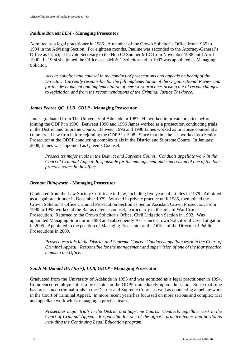#### *Pauline Barnett LLM* **- Managing Prosecutor**

Admitted as a legal practitioner in 1986. A member of the Crown Solicitor's Office from 1985 to 1994 in the Advising Section. For eighteen months, Pauline was seconded to the Attorney-General's Office as Principal Private Secretary to the Hon CJ Sumner MLC from November 1988 until April 1990. In 1994 she joined the Office as an MLS 1 Solicitor and in 1997 was appointed as Managing Solicitor.

*Acts as solicitor and counsel in the conduct of prosecutions and appeals on behalf of the Director. Currently responsible for the full implementation of the Organisational Review and for the development and implementation of new work practices arising out of recent changes to legislation and from the recommendations of the Criminal Justice Taskforce.* 

#### *James Pearce QC LLB GDLP -* **Managing Prosecutor**

James graduated from The University of Adelaide in 1987. He worked in private practice before joining the ODPP in 1990. Between 1990 and 1996 James worked as a prosecutor, conducting trials in the District and Supreme Courts. Between 1996 and 1998 James worked as In House counsel at a commercial law firm before rejoining the ODPP in 1998. Since that time he has worked as a Senior Prosecutor at the ODPP conducting complex trials in the District and Supreme Courts. In January 2008, James was appointed as Queen's Counsel.

*Prosecutes major trials in the District and Supreme Courts. Conducts appellate work in the Court of Criminal Appeal. Responsible for the management and supervision of one of the four practice teams in the office* 

#### *Brenton Illingworth* **- Managing Prosecutor**

Graduated from the Law Society Certificate in Law, including five years of articles in 1979. Admitted as a legal practitioner in December 1979. Worked in private practice until 1985, then joined the Crown Solicitor's Office Criminal Prosecution Section as Senior Assistant Crown Prosecutor. From 1990 to 1992 worked at the Bar as defence counsel, particularly in the area of War Crimes Prosecution. Returned to the Crown Solicitor's Office, Civil Litigation Section in 1992. Was appointed Managing Solicitor in 1993 and subsequently Assistance Crown Solicitor of Civil Litigation in 2005. Appointed to the position of Managing Prosecutor at the Office of the Director of Public Prosecutions in 2009.

*Prosecutes trials in the District and Supreme Courts. Conducts appellate work in the Court of Criminal Appeal. Responsible for the management and supervision of one of the four practice teams in the Office.* 

#### *Sandi McDonald BA (Juris), LLB, GDLP -* **Managing Prosecutor**

Graduated from the University of Adelaide in 1993 and was admitted as a legal practitioner in 1994. Commenced employment as a prosecutor in the ODPP immediately upon admission. Since that time has prosecuted criminal trials in the District and Supreme Courts as well as conducting appellate work in the Court of Criminal Appeal. In more recent years has focussed on more serious and complex trial and appellate work whilst managing a practice team.

*Prosecutes major trials in the District and Supreme Courts. Conducts appellate work in the Court of Criminal Appeal. Responsible for one of the office's practice teams and portfolios including the Continuing Legal Education program*.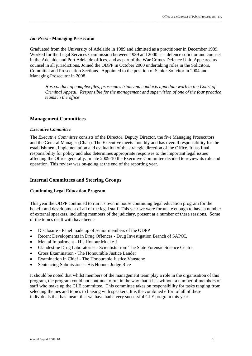#### *Ian Press -* **Managing Prosecutor**

Graduated from the University of Adelaide in 1989 and admitted as a practitioner in December 1989. Worked for the Legal Services Commission between 1989 and 2000 as a defence solicitor and counsel in the Adelaide and Port Adelaide offices, and as part of the War Crimes Defence Unit. Appeared as counsel in all jurisdictions. Joined the ODPP in October 2000 undertaking roles in the Solicitors, Committal and Prosecution Sections. Appointed to the position of Senior Solicitor in 2004 and Managing Prosecutor in 2008.

\_\_\_\_\_\_\_\_\_\_\_\_\_\_\_\_\_\_\_\_\_\_\_\_\_\_\_\_\_\_\_\_\_\_\_\_\_\_\_\_\_\_\_\_\_\_\_\_\_\_\_\_\_\_\_\_\_\_\_\_\_\_\_\_\_\_\_\_\_\_\_\_\_\_\_\_\_\_\_\_\_\_\_\_\_\_\_\_\_\_\_\_\_\_\_\_\_\_\_\_\_\_\_\_\_\_\_\_\_\_\_\_\_\_\_\_\_\_\_\_\_\_\_\_\_\_\_\_\_

*Has conduct of complex files, prosecutes trials and conducts appellate work in the Court of Criminal Appeal. Responsible for the management and supervision of one of the four practice teams in the office* 

#### **Management Committees**

#### *Executive Committee*

The *Executive Committee* consists of the Director, Deputy Director, the five Managing Prosecutors and the General Manager (Chair). The Executive meets monthly and has overall responsibility for the establishment, implementation and evaluation of the strategic direction of the Office. It has final responsibility for policy and also determines appropriate responses to the important legal issues affecting the Office generally. In late 2009-10 the Executive Committee decided to review its role and operation. This review was on-going at the end of the reporting year.

#### **Internal Committees and Steering Groups**

#### **Continuing Legal Education Program**

This year the ODPP continued to run it's own in house continuing legal education program for the benefit and development of all of the legal staff. This year we were fortunate enough to have a number of external speakers, including members of the judiciary, present at a number of these sessions. Some of the topics dealt with have been:-

- Disclosure Panel made up of senior members of the ODPP
- Recent Developments in Drug Offences Drug Investigation Branch of SAPOL
- Mental Impairment His Honour Mueke J
- Clandestine Drug Laboratories Scientists from The State Forensic Science Centre
- Cross Examination The Honourable Justice Lander
- Examination in Chief The Honourable Justice Vanstone
- Sentencing Submissions His Honour Judge Rice

It should be noted that whilst members of the management team play a role in the organisation of this program, the program could not continue to run in the way that it has without a number of members of staff who make up the CLE committee. This committee takes on responsibility for tasks ranging from selecting themes and topics to liaising with speakers. It is the combined effort of all of these individuals that has meant that we have had a very successful CLE program this year.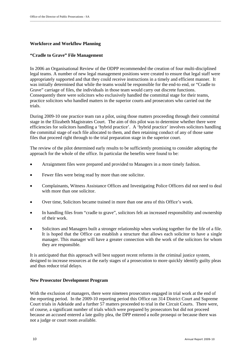#### **Workforce and Workflow Planning**

#### **"Cradle to Grave" File Management**

In 2006 an Organisational Review of the ODPP recommended the creation of four multi-disciplined legal teams. A number of new legal management positions were created to ensure that legal staff were appropriately supported and that they could receive instructions in a timely and efficient manner. It was initially determined that while the teams would be responsible for the end-to end, or "Cradle to Grave" carriage of files, the individuals in those team would carry out discrete functions. Consequently there were solicitors who exclusively handled the committal stage for their teams, practice solicitors who handled matters in the superior courts and prosecutors who carried out the trials.

\_\_\_\_\_\_\_\_\_\_\_\_\_\_\_\_\_\_\_\_\_\_\_\_\_\_\_\_\_\_\_\_\_\_\_\_\_\_\_\_\_\_\_\_\_\_\_\_\_\_\_\_\_\_\_\_\_\_\_\_\_\_\_\_\_\_\_\_\_\_\_\_\_\_\_\_\_\_\_\_\_\_\_\_\_\_\_\_\_\_\_\_\_\_\_\_\_\_\_\_\_\_\_\_\_\_\_\_\_\_\_\_\_\_\_\_\_\_\_\_\_\_\_\_\_\_\_\_\_

During 2009-10 one practice team ran a pilot, using those matters proceeding through their committal stage in the Elizabeth Magistrates Court. The aim of this pilot was to determine whether there were efficiencies for solicitors handling a 'hybrid practice'. A 'hybrid practice' involves solicitors handling the committal stage of each file allocated to them, and then retaining conduct of any of those same files that proceed right through to the trial preparation stage in the superior court.

The review of the pilot determined early results to be sufficiently promising to consider adopting the approach for the whole of the office. In particular the benefits were found to be:

- Arraignment files were prepared and provided to Managers in a more timely fashion.
- Fewer files were being read by more than one solicitor.
- Complainants, Witness Assistance Offices and Investigating Police Officers did not need to deal with more than one solicitor.
- Over time, Solicitors became trained in more than one area of this Office's work.
- In handling files from "cradle to grave", solicitors felt an increased responsibility and ownership of their work.
- Solicitors and Managers built a stronger relationship when working together for the life of a file. It is hoped that the Office can establish a structure that allows each solicitor to have a single manager. This manager will have a greater connection with the work of the solicitors for whom they are responsible.

It is anticipated that this approach will best support recent reforms in the criminal justice system, designed to increase resources at the early stages of a prosecution to more quickly identify guilty pleas and thus reduce trial delays.

#### **New Prosecutor Development Program**

With the exclusion of managers, there were nineteen prosecutors engaged in trial work at the end of the reporting period. In the 2009-10 reporting period this Office ran 314 District Court and Supreme Court trials in Adelaide and a further 57 matters proceeded to trial in the Circuit Courts. There were, of course, a significant number of trials which were prepared by prosecutors but did not proceed because an accused entered a late guilty plea, the DPP entered a nolle prosequi or because there was not a judge or court room available.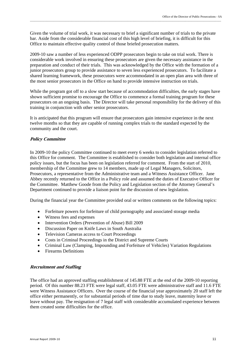Given the volume of trial work, it was necessary to brief a significant number of trials to the private bar. Aside from the considerable financial cost of this high level of briefing, it is difficult for this Office to maintain effective quality control of those briefed prosecution matters.

2009-10 saw a number of less experienced ODPP prosecutors begin to take on trial work. There is considerable work involved in ensuring these prosecutors are given the necessary assistance in the preparation and conduct of their trials. This was acknowledged by the Office with the formation of a junior prosecutors group to provide assistance to seven less experienced prosecutors. To facilitate a shared learning framework, these prosecutors were accommodated in an open plan area with three of the most senior prosecutors in the Office on hand to provide intensive instruction on trials.

While the program got off to a slow start because of accommodation difficulties, the early stages have shown sufficient promise to encourage the Office to commence a formal training program for these prosecutors on an ongoing basis. The Director will take personal responsibility for the delivery of this training in conjunction with other senior prosecutors.

It is anticipated that this program will ensure that prosecutors gain intensive experience in the next twelve months so that they are capable of running complex trials to the standard expected by the community and the court.

#### **Policy Committee**

In 2009-10 the policy Committee continued to meet every 6 weeks to consider legislation referred to this Office for comment. The Committee is established to consider both legislation and internal office policy issues, but the focus has been on legislation referred for comment. From the start of 2010, membership of the Committee grew to 14 members, made up of Legal Managers, Solicitors, Prosecutors, a representative from the Administrative team and a Witness Assistance Officer. Jane Abbey recently returned to the Office in a Policy role and assumed the duties of Executive Officer for the Committee. Matthew Goode from the Policy and Legislation section of the Attorney General's Department continued to provide a liaison point for the discussion of new legislation.

During the financial year the Committee provided oral or written comments on the following topics:

- Forfeiture powers for forfeiture of child pornography and associated storage media
- Witness fees and expenses
- Intervention Orders (Prevention of Abuse) Bill 2009
- Discussion Paper on Knife Laws in South Australia
- Television Cameras access to Court Proceedings
- Costs in Criminal Proceedings in the District and Supreme Courts
- Criminal Law (Clamping, Impounding and Forfeiture of Vehicles) Variation Regulations
- Firearms Definitions

#### **Recruitment and Staffing**

The office had an approved staffing establishment of 145.88 FTE at the end of the 2009-10 reporting period. Of this number 88.23 FTE were legal staff, 43.05 FTE were administrative staff and 11.6 FTE were Witness Assistance Officers. Over the course of the financial year approximately 20 staff left the office either permanently, or for substantial periods of time due to study leave, maternity leave or leave without pay. The resignation of 7 legal staff with considerable accumulated experience between them created some difficulties for the office.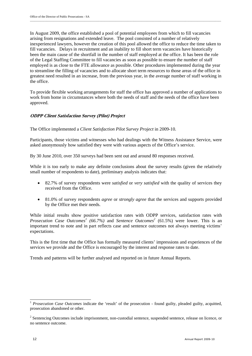In August 2009, the office established a pool of potential employees from which to fill vacancies arising from resignations and extended leave. The pool consisted of a number of relatively inexperienced lawyers, however the creation of this pool allowed the office to reduce the time taken to fill vacancies. Delays in recruitment and an inability to fill short term vacancies have historically been the main cause of the shortfall in the number of staff employed at the office. It has been the role of the Legal Staffing Committee to fill vacancies as soon as possible to ensure the number of staff employed is as close to the FTE allowance as possible. Other procedures implemented during the year to streamline the filling of vacancies and to allocate short term resources to those areas of the office in greatest need resulted in an increase, from the previous year, in the average number of staff working in the office.

To provide flexible working arrangements for staff the office has approved a number of applications to work from home in circumstances where both the needs of staff and the needs of the office have been approved.

#### **ODPP Client Satisfaction Survey (Pilot) Project**

The Office implemented a *Client Satisfaction Pilot Survey Project* in 2009-10.

Participants, those victims and witnesses who had dealings with the Witness Assistance Service, were asked anonymously how satisfied they were with various aspects of the Office's service.

By 30 June 2010, over 350 surveys had been sent out and around 80 responses received.

While it is too early to make any definite conclusions about the survey results (given the relatively small number of respondents to date), preliminary analysis indicates that:

- 82.7% of survey respondents were *satisfied* or *very satisfied* with the quality of services they received from the Office.
- 81.0% of survey respondents *agree* or *strongly agree* that the services and supports provided by the Office met their needs.

While initial results show positive satisfaction rates with ODPP services, satisfaction rates with *Prosecution Case Outcomes<sup>1</sup>* (66.7%) and *Sentence Outcomes*<sup>2</sup> (61.5%) were lower. This is an important trend to note and in part reflects case and sentence outcomes not always meeting victims' expectations.

This is the first time that the Office has formally measured clients' impressions and experiences of the services we provide and the Office is encouraged by the interest and response rates to date.

Trends and patterns will be further analysed and reported on in future Annual Reports.

 <sup>1</sup> *Prosecution Case Outcomes* indicate the 'result' of the prosecution - found guilty, pleaded guilty, acquitted, prosecution abandoned or other.

 $2^2$  Sentencing Outcomes include imprisonment, non-custodial sentence, suspended sentence, release on licence, or no sentence outcome.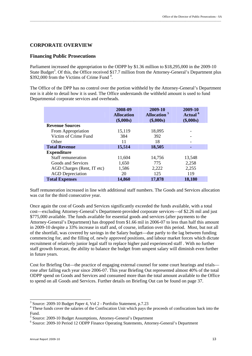#### **CORPORATE OVERVIEW**

#### **Financing Public Prosecutions**

Parliament increased the appropriation to the ODPP by \$1.36 million to \$18,295,000 in the 2009-10 State Budget<sup>3</sup>. Of this, the Office received \$17.7 million from the Attorney-General's Department plus \$392,000 from the Victims of Crime Fund<sup>4</sup>.

The Office of the DPP has no control over the portion withheld by the Attorney-General's Department nor is it able to detail how it is used. The Office understands the withheld amount is used to fund Departmental corporate services and overheads.

|                            | 2008-09<br><b>Allocation</b><br>(\$,000s) | 2009-10<br><b>Allocation</b> <sup>5</sup><br>(\$,000s) | 2009-10<br>Actual <sup>6</sup><br>(\$,000s) |
|----------------------------|-------------------------------------------|--------------------------------------------------------|---------------------------------------------|
| <b>Revenue Sources</b>     |                                           |                                                        |                                             |
| From Appropriation         | 15,119                                    | 18,095                                                 |                                             |
| Victim of Crime Fund       | 384                                       | 392                                                    |                                             |
| Other                      | 11                                        | 18                                                     |                                             |
| <b>Total Revenue</b>       | 15,514                                    | 18,505                                                 |                                             |
| <b>Expenditure</b>         |                                           |                                                        |                                             |
| <b>Staff remuneration</b>  | 11,604                                    | 14,756                                                 | 13,548                                      |
| Goods and Services         | 1,650                                     | 775                                                    | 2,258                                       |
| AGD Charges (Rent, IT etc) | 1,586                                     | 2,222                                                  | 2,255                                       |
| <b>AGD</b> Depreciation    | 20                                        | 125                                                    | 119                                         |
| <b>Total Expenses</b>      | 14,860                                    | 17,878                                                 | 18,180                                      |

Staff remuneration increased in line with additional staff numbers. The Goods and Services allocation was cut for the third consecutive year.

Once again the cost of Goods and Services significantly exceeded the funds available, with a total cost—excluding Attorney-General's Department-provided corporate services—of \$2.26 mil and just \$775,000 available. The funds available for essential goods and services (after payments to the Attorney-General's Department) has dropped from \$1.66 mil in 2006-07 to less than half this amount in 2009-10 despite a 33% increase in staff and, of course, inflation over this period. Most, but not all of the shortfall, was covered by savings in the Salary budget—due partly to the lag between funding commencing for, and the filling of, newly approved positions, and labour market forces which dictate recruitment of relatively junior legal staff to replace higher paid experienced staff . With no further staff growth forecast, the ability to balance the budget from unspent salary will diminish even further in future years.

Cost for Briefing Out—the practice of engaging external counsel for some court hearings and trials rose after falling each year since 2006-07. This year Briefing Out represented almost 40% of the total ODPP spend on Goods and Services and consumed more than the total amount available to the Office to spend on all Goods and Services. Further details on Briefing Out can be found on page 37.

 3 Source: 2009-10 Budget Paper 4, Vol 2 - Portfolio Statement, p.7.23

<sup>&</sup>lt;sup>4</sup> These funds cover the salaries of the Confiscation Unit which pays the proceeds of confiscations back into the Fund.

 $^5$  Source: 2009-10 Budget Assumptions, Attorney-General's Department  $^6$  Source: 2000-10 Beried 12 ODBB Einenge Operating Statements, Attorney

Source: 2009-10 Period 12 ODPP Finance Operating Statements, Attorney-General's Department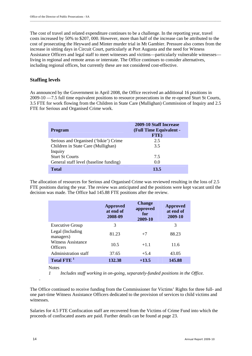The cost of travel and related expenditure continues to be a challenge. In the reporting year, travel costs increased by 50% to \$207, 000. However, more than half of the increase can be attributed to the cost of prosecuting the Heyward and Minter murder trial in Mt Gambier. Pressure also comes from the increase in sitting days in Circuit Court, particularly at Port Augusta and the need for Witness Assistance Officers and legal staff to meet witnesses and victims—particularly vulnerable witnesses living in regional and remote areas or interstate. The Office continues to consider alternatives, including regional offices, but currently these are not considered cost-effective.

#### **Staffing levels**

As announced by the Government in April 2008, the Office received an additional 16 positions in 2009-10 —7.5 full time equivalent positions to resource prosecutions in the re-opened Sturt St Courts, 3.5 FTE for work flowing from the Children in State Care (Mullighan) Commission of Inquiry and 2.5 FTE for Serious and Organised Crime work.

| <b>Program</b>                         | 2009-10 Staff Increase<br>(Full Time Equivalent -<br>FTE) |
|----------------------------------------|-----------------------------------------------------------|
| Serious and Organised ('bikie') Crime  | 2.5                                                       |
| Children in State Care (Mullighan)     | 3.5                                                       |
| Inquiry                                |                                                           |
| <b>Sturt St Courts</b>                 | 7.5                                                       |
| General staff level (baseline funding) | 0.0                                                       |
| <b>Total</b>                           | 13.5                                                      |

The allocation of resources for Serious and Organised Crime was reviewed resulting in the loss of 2.5 FTE positions during the year. The review was anticipated and the positions were kept vacant until the decision was made. The Office had 145.88 FTE positions after the review.

|                                                                                                       | <b>Approved</b><br>at end of<br>2008-09 | <b>Change</b><br>approved<br>for<br>2009-10 | <b>Approved</b><br>at end of<br>2009-10 |
|-------------------------------------------------------------------------------------------------------|-----------------------------------------|---------------------------------------------|-----------------------------------------|
| <b>Executive Group</b>                                                                                | 3                                       |                                             | 3                                       |
| Legal (Including<br>managers)<br><b>Witness Assistance</b><br><b>Officers</b><br>Administration staff | 81.23                                   | $+7$                                        | 88.23                                   |
|                                                                                                       | 10.5                                    | $+1.1$                                      | 11.6                                    |
|                                                                                                       | 37.65                                   | $+5.4$                                      | 43.05                                   |
| Total FTE <sup>1</sup>                                                                                | 132.38                                  | $+13.5$                                     | 145.88                                  |

Notes

*.* 

*1 Includes staff working in on-going, separately-funded positions in the Office.* 

The Office continued to receive funding from the Commissioner for Victims' Rights for three full- and one part-time Witness Assistance Officers dedicated to the provision of services to child victims and witnesses.

Salaries for 4.5 FTE Confiscation staff are recovered from the Victims of Crime Fund into which the proceeds of confiscated assets are paid. Further details can be found at page 23.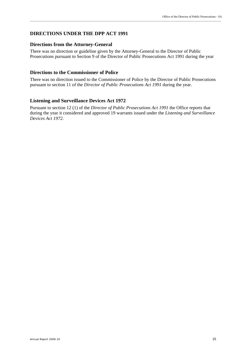#### **DIRECTIONS UNDER THE DPP ACT 1991**

#### **Directions from the Attorney-General**

There was no direction or guideline given by the Attorney-General to the Director of Public Prosecutions pursuant to Section 9 of the Director of Public Prosecutions Act 1991 during the year

#### **Directions to the Commissioner of Police**

There was no direction issued to the Commissioner of Police by the Director of Public Prosecutions pursuant to section 11 of the *Director of Public Prosecutions Act 1991* during the year.

#### **Listening and Surveillance Devices Act 1972**

Pursuant to section 12 (1) of the *Director of Public Prosecutions Act 1991* the Office reports that during the year it considered and approved 19 warrants issued under the *Listening and Surveillance Devices Act 1972*.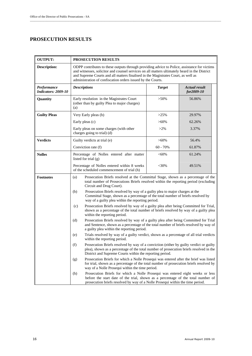### **PROSECUTION RESULTS**

| <b>OUTPUT:</b>                            | PROSECUTION RESULTS                                                                                                                                                                                                                                                                                                                               |                                                                                                                                                                 |                                    |  |  |  |
|-------------------------------------------|---------------------------------------------------------------------------------------------------------------------------------------------------------------------------------------------------------------------------------------------------------------------------------------------------------------------------------------------------|-----------------------------------------------------------------------------------------------------------------------------------------------------------------|------------------------------------|--|--|--|
| <b>Description:</b>                       | ODPP contributes to these outputs through providing advice to Police, assistance for victims<br>and witnesses, solicitor and counsel services on all matters ultimately heard in the District<br>and Supreme Courts and all matters finalised in the Magistrates Court, as well as<br>administration of confiscation orders issued by the Courts. |                                                                                                                                                                 |                                    |  |  |  |
| Performance<br><b>Indicators: 2009-10</b> | <b>Descriptions</b>                                                                                                                                                                                                                                                                                                                               | <b>Target</b>                                                                                                                                                   | <b>Actual result</b><br>for2009-10 |  |  |  |
| Quantity                                  | Early resolution in the Magistrates Court<br>(other than by guilty Plea to major charges)<br>(a)                                                                                                                                                                                                                                                  | $>50\%$                                                                                                                                                         | 56.86%                             |  |  |  |
| <b>Guilty Pleas</b>                       | Very Early pleas (b)                                                                                                                                                                                                                                                                                                                              | >25%                                                                                                                                                            | 29.97%                             |  |  |  |
|                                           | Early pleas (c)                                                                                                                                                                                                                                                                                                                                   | $>60\%$                                                                                                                                                         | 62.26%                             |  |  |  |
|                                           | Early pleas on some charges (with other<br>charges going to trial) (d)                                                                                                                                                                                                                                                                            | $>2\%$                                                                                                                                                          | 3.37%                              |  |  |  |
| <b>Verdicts</b>                           | Guilty verdicts at trial (e)                                                                                                                                                                                                                                                                                                                      | $>60\%$                                                                                                                                                         | 56.4%                              |  |  |  |
|                                           | Conviction rate (f)                                                                                                                                                                                                                                                                                                                               | $60 - 70%$                                                                                                                                                      | 61.87%                             |  |  |  |
| <b>Nolles</b>                             | Percentage of Nolles entered after matter<br>listed for trial (g)                                                                                                                                                                                                                                                                                 | $<$ 60%                                                                                                                                                         | 61.24%                             |  |  |  |
|                                           | Percentage of Nolles entered within 8 weeks<br>$<$ 30%<br>49.51%<br>of the scheduled commencement of trial (h)                                                                                                                                                                                                                                    |                                                                                                                                                                 |                                    |  |  |  |
| <b>Footnotes</b>                          | Prosecution Briefs resolved at the Committal Stage, shown as a percentage of the<br>(a)<br>total number of Prosecutions Briefs resolved within the reporting period (excluding<br>Circuit and Drug Court).                                                                                                                                        |                                                                                                                                                                 |                                    |  |  |  |
|                                           | (b)<br>way of a guilty plea within the reporting period.                                                                                                                                                                                                                                                                                          | Prosecution Briefs resolved by way of a guilty plea to major charges at the<br>Committal Stage, shown as a percentage of the total number of briefs resolved by |                                    |  |  |  |
|                                           | Prosecution Briefs resolved by way of a guilty plea after being Committed for Trial,<br>(c)<br>shown as a percentage of the total number of briefs resolved by way of a guilty plea<br>within the reporting period.                                                                                                                               |                                                                                                                                                                 |                                    |  |  |  |
|                                           | Prosecution Briefs resolved by way of a guilty plea after being Committed for Trial<br>(d)<br>and Sentence, shown as a percentage of the total number of briefs resolved by way of<br>a guilty plea within the reporting period.                                                                                                                  |                                                                                                                                                                 |                                    |  |  |  |
|                                           | Trials resolved by way of a guilty verdict, shown as a percentage of all trial verdicts<br>(e)<br>within the reporting period.                                                                                                                                                                                                                    |                                                                                                                                                                 |                                    |  |  |  |
|                                           | Prosecution Briefs resolved by way of a conviction (either by guilty verdict or guilty<br>(f)<br>plea), shown as a percentage of the total number of prosecution briefs resolved in the<br>District and Supreme Courts within the reporting period.                                                                                               |                                                                                                                                                                 |                                    |  |  |  |
|                                           | Prosecution Briefs for which a Nolle Prosequi was entered after the brief was listed<br>(g)<br>for trial, shown as a percentage of the total number of prosecution briefs resolved by<br>way of a Nolle Prosequi within the time period.                                                                                                          |                                                                                                                                                                 |                                    |  |  |  |
|                                           | (h)<br>Prosecution Briefs for which a Nolle Prosequi was entered eight weeks or less<br>before the start date of the trial, shown as a percentage of the total number of<br>prosecution briefs resolved by way of a Nolle Prosequi within the time period.                                                                                        |                                                                                                                                                                 |                                    |  |  |  |

\_\_\_\_\_\_\_\_\_\_\_\_\_\_\_\_\_\_\_\_\_\_\_\_\_\_\_\_\_\_\_\_\_\_\_\_\_\_\_\_\_\_\_\_\_\_\_\_\_\_\_\_\_\_\_\_\_\_\_\_\_\_\_\_\_\_\_\_\_\_\_\_\_\_\_\_\_\_\_\_\_\_\_\_\_\_\_\_\_\_\_\_\_\_\_\_\_\_\_\_\_\_\_\_\_\_\_\_\_\_\_\_\_\_\_\_\_\_\_\_\_\_\_\_\_\_\_\_\_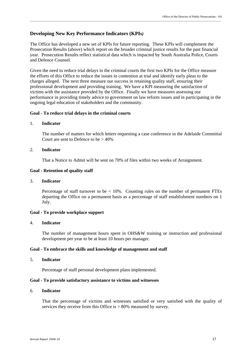#### **Developing New Key Performance Indicators (KPIs***)*

The Office has developed a new set of KPIs for future reporting. These KPIs will complement the Prosecution Results (above) which report on the broader criminal justice results for the past financial year. Prosecution Results reflect statistical data which is impacted by South Australia Police, Courts and Defence Counsel.

\_\_\_\_\_\_\_\_\_\_\_\_\_\_\_\_\_\_\_\_\_\_\_\_\_\_\_\_\_\_\_\_\_\_\_\_\_\_\_\_\_\_\_\_\_\_\_\_\_\_\_\_\_\_\_\_\_\_\_\_\_\_\_\_\_\_\_\_\_\_\_\_\_\_\_\_\_\_\_\_\_\_\_\_\_\_\_\_\_\_\_\_\_\_\_\_\_\_\_\_\_\_\_\_\_\_\_\_\_\_\_\_\_\_\_\_\_\_\_\_\_\_\_\_\_\_\_\_\_

Given the need to reduce trial delays in the criminal courts the first two KPIs for the Office measure the efforts of this Office to reduce the issues in contention at trial and identify early pleas to the charges alleged. The next three measure our success in retaining quality staff, ensuring their professional development and providing training. We have a KPI measuring the satisfaction of victims with the assistance provided by the Office. Finally we have measures assessing our performance in providing timely advice to government on law reform issues and in participating in the ongoing legal education of stakeholders and the community.

#### **Goal - To reduce trial delays in the criminal courts**

#### 1. **Indicator**

The number of matters for which letters requesting a case conference in the Adelaide Committal Court are sent to Defence to be  $> 40\%$ 

#### 2. **Indicator**

That a Notice to Admit will be sent on 70% of files within two weeks of Arraignment.

#### **Goal - Retention of quality staff**

#### 3. **Indicator**

Percentage of staff turnover to be < 10%. Counting rules on the number of permanent FTEs departing the Office on a permanent basis as a percentage of staff establishment numbers on 1 July.

#### **Goal - To provide workplace support**

#### 4. **Indicator**

The number of management hours spent in OHS&W training or instruction and professional development per year to be at least 10 hours per manager.

#### **Goal - To embrace the skills and knowledge of management and staff**

#### 5. **Indicator**

Percentage of staff personal development plans implemented.

#### **Goal - To provide satisfactory assistance to victims and witnesses**

#### 6. **Indicator**

That the percentage of victims and witnesses satisfied or very satisfied with the quality of services they receive from this Office is  $> 80\%$  measured by survey.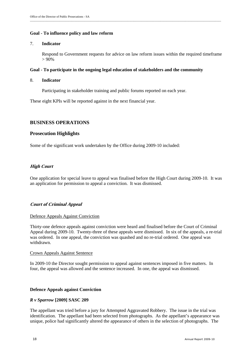#### **Goal - To influence policy and law reform**

#### 7. **Indicator**

Respond to Government requests for advice on law reform issues within the required timeframe  $> 90\%$ 

#### **Goal - To participate in the ongoing legal education of stakeholders and the community**

#### 8. **Indicator**

Participating in stakeholder training and public forums reported on each year.

These eight KPIs will be reported against in the next financial year.

#### **BUSINESS OPERATIONS**

#### **Prosecution Highlights**

Some of the significant work undertaken by the Office during 2009-10 included:

#### **High Court**

One application for special leave to appeal was finalised before the High Court during 2009-10. It was an application for permission to appeal a conviction. It was dismissed.

#### **Court of Criminal Appeal**

#### Defence Appeals Against Conviction

Thirty-one defence appeals against conviction were heard and finalised before the Court of Criminal Appeal during 2009-10. Twenty-three of these appeals were dismissed. In six of the appeals, a re-trial was ordered. In one appeal, the conviction was quashed and no re-trial ordered. One appeal was withdrawn.

#### Crown Appeals Against Sentence

In 2009-10 the Director sought permission to appeal against sentences imposed in five matters. In four, the appeal was allowed and the sentence increased. In one, the appeal was dismissed.

#### **Defence Appeals against Conviction**

#### *R v Sparrow* **[2009] SASC 209**

The appellant was tried before a jury for Attempted Aggravated Robbery. The issue in the trial was identification. The appellant had been selected from photographs. As the appellant's appearance was unique, police had significantly altered the appearance of others in the selection of photographs. The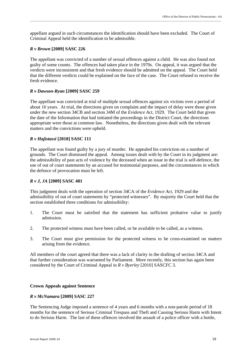appellant argued in such circumstances the identification should have been excluded. The Court of Criminal Appeal held the identification to be admissible.

#### *R v Brown* **[2009] SASC 226**

The appellant was convicted of a number of sexual offences against a child. He was also found not guilty of some counts. The offences had taken place in the 1970s. On appeal, it was argued that the verdicts were inconsistent and that fresh evidence should be admitted on the appeal. The Court held that the different verdicts could be explained on the face of the case. The Court refused to receive the fresh evidence.

#### *R v Dawson-Ryan* **[2009] SASC 259**

The appellant was convicted at trial of multiple sexual offences against six victims over a period of about 16 years. At trial, the directions given on complaint and the impact of delay were those given under the new section 34CB and section 34M of the *Evidence Act*, 1929. The Court held that given the date of the Information that had initiated the proceedings in the District Court, the directions appropriate were those at common law. Nonetheless, the directions given dealt with the relevant matters and the convictions were upheld.

#### *R v Hajistassi* **[2010] SASC 111**

The appellant was found guilty by a jury of murder. He appealed his conviction on a number of grounds. The Court dismissed the appeal. Among issues dealt with by the Court in its judgment are: the admissibility of past acts of violence by the deceased when an issue in the trial is self-defence, the use of out of court statements by an accused for testimonial purposes, and the circumstances in which the defence of provocation must be left.

#### *R v J, JA* **[2009] SASC 401**

This judgment deals with the operation of section 34CA of the *Evidence Act*, 1929 and the admissibility of out of court statements by "protected witnesses". By majority the Court held that the section established three conditions for admissibility:

- 1. The Court must be satisfied that the statement has sufficient probative value to justify admission.
- 2. The protected witness must have been called, or be available to be called, as a witness.
- 3. The Court must give permission for the protected witness to be cross-examined on matters arising from the evidence.

All members of the court agreed that there was a lack of clarity in the drafting of section 34CA and that further consideration was warranted by Parliament. More recently, this section has again been considered by the Court of Criminal Appeal in *R v Byerley* [2010] SASCFC 3.

#### **Crown Appeals against Sentence**

#### *R v McNamara* **[2009] SASC 227**

The Sentencing Judge imposed a sentence of 4 years and 6 months with a non-parole period of 18 months for the sentence of Serious Criminal Trespass and Theft and Causing Serious Harm with Intent to do Serious Harm. The last of these offences involved the assault of a police officer with a bottle,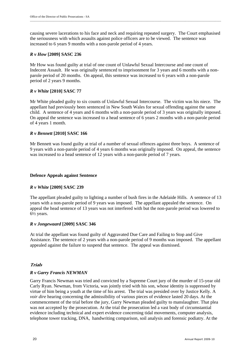causing severe lacerations to his face and neck and requiring repeated surgery. The Court emphasised the seriousness with which assaults against police officers are to be viewed. The sentence was increased to 6 years 9 months with a non-parole period of 4 years.

#### *R v How* **[2009] SASC 236**

Mr How was found guilty at trial of one count of Unlawful Sexual Intercourse and one count of Indecent Assault. He was originally sentenced to imprisonment for 3 years and 6 months with a nonparole period of 20 months. On appeal, this sentence was increased to 6 years with a non-parole period of 2 years 9 months.

#### *R v White* **[2010] SASC 77**

Mr White pleaded guilty to six counts of Unlawful Sexual Intercourse. The victim was his niece. The appellant had previously been sentenced in New South Wales for sexual offending against the same child. A sentence of 4 years and 6 months with a non-parole period of 3 years was originally imposed. On appeal the sentence was increased to a head sentence of 6 years 2 months with a non-parole period of 4 years 1 month.

#### *R v Bennett* **[2010] SASC 166**

Mr Bennett was found guilty at trial of a number of sexual offences against three boys. A sentence of 9 years with a non-parole period of 4 years 6 months was originally imposed. On appeal, the sentence was increased to a head sentence of 12 years with a non-parole period of 7 years.

#### **Defence Appeals against Sentence**

#### *R v White* **[2009] SASC 239**

The appellant pleaded guilty to lighting a number of bush fires in the Adelaide Hills. A sentence of 13 years with a non-parole period of 9 years was imposed. The appellant appealed the sentence. On appeal the head sentence of 13 years was not interfered with but the non-parole period was lowered to  $6\frac{1}{2}$  years.

#### *R v Jongewaard* **[2009] SASC 346**

At trial the appellant was found guilty of Aggravated Due Care and Failing to Stop and Give Assistance. The sentence of 2 years with a non-parole period of 9 months was imposed. The appellant appealed against the failure to suspend that sentence. The appeal was dismissed.

#### **Trials**

#### *R v Garry Francis NEWMAN*

Garry Francis Newman was tried and convicted by a Supreme Court jury of the murder of 15-year old Carly Ryan. Newman, from Victoria, was jointly tried with his son, whose identity is suppressed by virtue of him being a youth at the time of his arrest. The trial was presided over by Justice Kelly. A *voir dire* hearing concerning the admissibility of various pieces of evidence lasted 20 days. At the commencement of the trial before the jury, Garry Newman pleaded guilty to manslaughter. That plea was not accepted by the prosecution. At the trial the prosecution led a vast body of circumstantial evidence including technical and expert evidence concerning tidal movements, computer analysis, telephone tower tracking, DNA, handwriting comparison, soil analysis and forensic podiatry. At the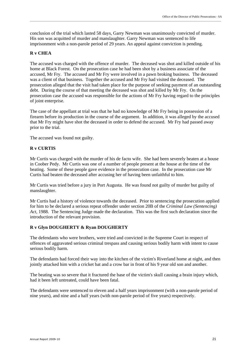conclusion of the trial which lasted 58 days, Garry Newman was unanimously convicted of murder. His son was acquitted of murder and manslaughter. Garry Newman was sentenced to life imprisonment with a non-parole period of 29 years. An appeal against conviction is pending.

#### **R v CHEA**

The accused was charged with the offence of murder. The deceased was shot and killed outside of his home at Black Forest. On the prosecution case he had been shot by a business associate of the accused, Mr Fry. The accused and Mr Fry were involved in a pawn broking business. The deceased was a client of that business. Together the accused and Mr Fry had visited the deceased. The prosecution alleged that the visit had taken place for the purpose of seeking payment of an outstanding debt. During the course of that meeting the deceased was shot and killed by Mr Fry. On the prosecution case the accused was responsible for the actions of Mr Fry having regard to the principles of joint enterprise.

The case of the appellant at trial was that he had no knowledge of Mr Fry being in possession of a firearm before its production in the course of the argument. In addition, it was alleged by the accused that Mr Fry might have shot the deceased in order to defend the accused. Mr Fry had passed away prior to the trial.

The accused was found not guilty.

#### **R v CURTIS**

Mr Curtis was charged with the murder of his de facto wife. She had been severely beaten at a house in Coober Pedy. Mr Curtis was one of a number of people present at the house at the time of the beating. Some of these people gave evidence in the prosecution case. In the prosecution case Mr Curtis had beaten the deceased after accusing her of having been unfaithful to him.

Mr Curtis was tried before a jury in Port Augusta. He was found not guilty of murder but guilty of manslaughter.

Mr Curtis had a history of violence towards the deceased. Prior to sentencing the prosecution applied for him to be declared a serious repeat offender under section 20B of the *Criminal Law (Sentencing) Act*, 1988. The Sentencing Judge made the declaration. This was the first such declaration since the introduction of the relevant provision.

#### **R v Glyn DOUGHERTY & Ryan DOUGHERTY**

The defendants who were brothers, were tried and convicted in the Supreme Court in respect of offences of aggravated serious criminal trespass and causing serious bodily harm with intent to cause serious bodily harm.

The defendants had forced their way into the kitchen of the victim's Riverland home at night, and then jointly attacked him with a cricket bat and a crow bar in front of his 9 year old son and another.

The beating was so severe that it fractured the base of the victim's skull causing a brain injury which, had it been left untreated, could have been fatal.

The defendants were sentenced to eleven and a half years imprisonment (with a non-parole period of nine years), and nine and a half years (with non-parole period of five years) respectively.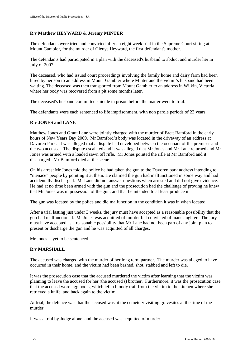#### **R v Matthew HEYWARD & Jeremy MINTER**

The defendants were tried and convicted after an eight week trial in the Supreme Court sitting at Mount Gambier, for the murder of Glenys Heyward, the first defendant's mother.

The defendants had participated in a plan with the deceased's husband to abduct and murder her in July of 2007.

The deceased, who had issued court proceedings involving the family home and dairy farm had been lured by her son to an address in Mount Gambier where Minter and the victim's husband had been waiting. The deceased was then transported from Mount Gambier to an address in Wilkin, Victoria, where her body was recovered from a pit some months later.

The deceased's husband committed suicide in prison before the matter went to trial.

The defendants were each sentenced to life imprisonment, with non parole periods of 23 years.

#### **R v JONES and LANE**

Matthew Jones and Grant Lane were jointly charged with the murder of Brett Bamford in the early hours of New Years Day 2009. Mr Bamford's body was located in the driveway of an address at Davoren Park. It was alleged that a dispute had developed between the occupant of the premises and the two accused. The dispute escalated and it was alleged that Mr Jones and Mr Lane returned and Mr Jones was armed with a loaded sawn off rifle. Mr Jones pointed the rifle at Mr Bamford and it discharged. Mr Bamford died at the scene.

On his arrest Mr Jones told the police he had taken the gun to the Davoren park address intending to "menace" people by pointing it at them. He claimed the gun had malfunctioned in some way and had accidentally discharged. Mr Lane did not answer questions when arrested and did not give evidence. He had at no time been armed with the gun and the prosecution had the challenge of proving he knew that Mr Jones was in possession of the gun, and that he intended to at least produce it.

The gun was located by the police and did malfunction in the condition it was in when located.

After a trial lasting just under 3 weeks, the jury must have accepted as a reasonable possibility that the gun had malfunctioned. Mr Jones was acquitted of murder but convicted of manslaughter. The jury must have accepted as a reasonable possibility that Mr Lane had not been part of any joint plan to present or discharge the gun and he was acquitted of all charges.

Mr Jones is yet to be sentenced.

#### **R v MARSHALL**

The accused was charged with the murder of her long term partner. The murder was alleged to have occurred in their home, and the victim had been bashed, shot, stabbed and left to die.

It was the prosecution case that the accused murdered the victim after learning that the victim was planning to leave the accused for her (the accused's) brother. Furthermore, it was the prosecution case that the accused wore ugg boots, which left a bloody trail from the victim to the kitchen where she retrieved a knife, and back again to the victim.

At trial, the defence was that the accused was at the cemetery visiting gravesites at the time of the murder.

It was a trial by Judge alone, and the accused was acquitted of murder.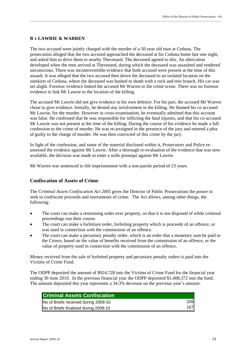#### **R v LAWRIE & WARREN**

The two accused were jointly charged with the murder of a 50 year old man at Ceduna. The prosecution alleged that the two accused approached the deceased at his Ceduna home late one night, and asked him to drive them to nearby Thevenard. The deceased agreed to this. An altercation developed when the men arrived at Thevenard, during which the deceased was assaulted and rendered unconscious. There was incontrovertible evidence that both accused were present at the time of this assault. It was alleged that the two accused then drove the deceased to an isolated location on the outskirts of Ceduna, where the deceased was bashed to death with a rock and tree branch. His car was set alight. Forensic evidence linked the accused Mr Warren to the crime scene. There was no forensic evidence to link Mr Lawrie to the location of the killing.

\_\_\_\_\_\_\_\_\_\_\_\_\_\_\_\_\_\_\_\_\_\_\_\_\_\_\_\_\_\_\_\_\_\_\_\_\_\_\_\_\_\_\_\_\_\_\_\_\_\_\_\_\_\_\_\_\_\_\_\_\_\_\_\_\_\_\_\_\_\_\_\_\_\_\_\_\_\_\_\_\_\_\_\_\_\_\_\_\_\_\_\_\_\_\_\_\_\_\_\_\_\_\_\_\_\_\_\_\_\_\_\_\_\_\_\_\_\_\_\_\_\_\_\_\_\_\_\_\_

The accused Mr Lawrie did not give evidence in his own defence. For his part, the accused Mr Warren chose to give evidence. Initially, he denied any involvement in the killing. He blamed his co accused Mr Lawrie, for the murder. However in cross-examination, he eventually admitted that this account was false. He confessed that he was responsible for inflicting the fatal injuries, and that his co-accused Mr Lawrie was not present at the time of the killing. During the course of his evidence he made a full confession to the crime of murder. He was re-arraigned in the presence of the jury and entered a plea of guilty to the charge of murder. He was then convicted of this crime by the jury.

In light of the confession, and some of the material disclosed within it, Prosecutors and Police reassessed the evidence against Mr Lawrie. After a thorough re-evaluation of the evidence that was now available, the decision was made to enter a nolle prosequi against Mr Lawrie.

Mr Warren was sentenced to life imprisonment with a non-parole period of 23 years.

#### **Confiscation of Assets of Crime**

The *Criminal Assets Confiscation Act 2005* gives the Director of Public Prosecutions the power to seek to confiscate proceeds and instruments of crime. The Act allows, among other things, the following:

- The court can make a restraining order over property, so that it is not disposed of while criminal proceedings run their course.
- The court can make a forfeiture order, forfeiting property which is proceeds of an offence, or was used in connection with the commission of an offence.
- The court can make a pecuniary penalty order, which is an order that a monetary sum be paid to the Crown, based on the value of benefits received from the commission of an offence, or the value of property used in connection with the commission of an offence.

Money received from the sale of forfeited property and pecuniary penalty orders is paid into the Victims of Crime Fund.

The ODPP deposited the amount of \$924,728 into the Victims of Crime Fund for the financial year ending 30 June 2010. In the previous financial year the ODPP deposited \$1,408,372 into the fund. The amount deposited this year represents a 34.3% decrease on the previous year's amount.

| <b>Criminal Assets Confiscation</b>   |     |
|---------------------------------------|-----|
| No of Briefs received during 2009-10  | 209 |
| No of Briefs finalised during 2009-10 | 167 |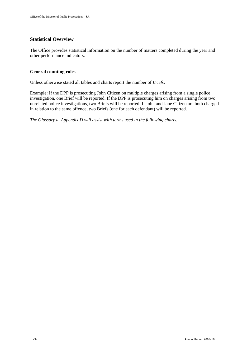#### **Statistical Overview**

The Office provides statistical information on the number of matters completed during the year and other performance indicators.

\_\_\_\_\_\_\_\_\_\_\_\_\_\_\_\_\_\_\_\_\_\_\_\_\_\_\_\_\_\_\_\_\_\_\_\_\_\_\_\_\_\_\_\_\_\_\_\_\_\_\_\_\_\_\_\_\_\_\_\_\_\_\_\_\_\_\_\_\_\_\_\_\_\_\_\_\_\_\_\_\_\_\_\_\_\_\_\_\_\_\_\_\_\_\_\_\_\_\_\_\_\_\_\_\_\_\_\_\_\_\_\_\_\_\_\_\_\_\_\_\_\_\_\_\_\_\_\_\_

#### **General counting rules**

Unless otherwise stated all tables and charts report the number of *Briefs*.

Example: If the DPP is prosecuting John Citizen on multiple charges arising from a single police investigation, one Brief will be reported. If the DPP is prosecuting him on charges arising from two unrelated police investigations, two Briefs will be reported. If John and Jane Citizen are both charged in relation to the same offence, two Briefs (one for each defendant) will be reported.

*The Glossary at Appendix D will assist with terms used in the following charts.*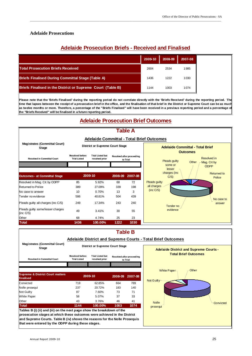#### **Adelaide Prosecutions**

### **Adelaide Prosecution Briefs - Received and Finalised**

\_\_\_\_\_\_\_\_\_\_\_\_\_\_\_\_\_\_\_\_\_\_\_\_\_\_\_\_\_\_\_\_\_\_\_\_\_\_\_\_\_\_\_\_\_\_\_\_\_\_\_\_\_\_\_\_\_\_\_\_\_\_\_\_\_\_\_\_\_\_\_\_\_\_\_\_\_\_\_\_\_\_\_\_\_\_\_\_\_\_\_\_\_\_\_\_\_\_\_\_\_\_\_\_\_\_\_\_\_\_\_\_\_\_\_\_\_\_\_\_\_\_\_\_\_\_\_\_\_

|                                                             | 2009-10 | 2008-09 | 2007-08 |
|-------------------------------------------------------------|---------|---------|---------|
| <b>Total Prosecution Briefs Received</b>                    | 2604    | 2534    | 1985    |
| <b>Briefs Finalised During Committal Stage (Table A)</b>    | 1436    | 1222    | 1030    |
| Briefs Finalised in the District or Supreme Court (Table B) | 1144    | 1003    | 1074    |

Please note that the 'Briefs Finalised' during the reporting period do not correlate directly with the 'Briefs Received' during the reporting period. Th **time that lapses between the receipt of a prosecution brief in the office, and the finalisation of that brief in the District or Supreme Court can be as much** as twelve months or more. Therefore, a percentage of the "Briefs Finalised" will have been received in a previous reporting period and a percentage of **the "Briefs Received" will be finalised in a future reporting period.**

### **Adelaide Prosecution Brief Outcomes**



### **Table A**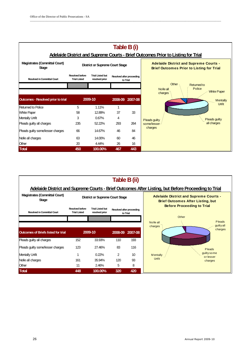

\_\_\_\_\_\_\_\_\_\_\_\_\_\_\_\_\_\_\_\_\_\_\_\_\_\_\_\_\_\_\_\_\_\_\_\_\_\_\_\_\_\_\_\_\_\_\_\_\_\_\_\_\_\_\_\_\_\_\_\_\_\_\_\_\_\_\_\_\_\_\_\_\_\_\_\_\_\_\_\_\_\_\_\_\_\_\_\_\_\_\_\_\_\_\_\_\_\_\_\_\_\_\_\_\_\_\_\_\_\_\_\_\_\_\_\_\_\_\_\_\_\_\_\_\_\_\_\_\_



### 26 Annual Report 2009-10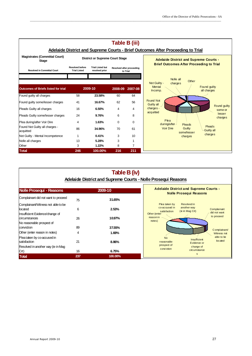#### **Magistrates (Committal Court) Stage Resolved in Committal Court Resolved before Trial Listed Trial Listed but resolved prior Outcomes of Briefs listed for trial 2008-09 2007-08** Found guilty all charges **60 58 23.58%** 60 **64** Found guilty some/lesser charges 41 **16.67%** 62 56 Pleads Guilty all charges **16 6.50%** 4 4 4 Pleads Guilty some/lesser charges 24 9.76% 6 8 Plea during/after Voir Dire **4** 1.63% 0 0 0 Found Not Guilty all charges acquitted <sup>86</sup> **34.96%** 70 61 Not Guilty - Mental Incompetence 1 **0.41%** 3 10 Nolle all charges **13** 13 **5.28%** 3 1 Other 3 **1.22%** 8 7 **Total 246 100.00% 216 211 Table B (iii) 2009-10 Adelaide District and Supreme Courts - Brief Outcomes After Proceeding to Trial District or Supreme Court Stage Resolved after proceeding to Trial Adelaide District and Supreme Courts - Brief Outcomes After Proceeding to Trial** Nolle all Other<br>charges Not Guilty -**Mental** Incomp. Found Not **Guilty all** charges acquitted Plea during/after Voir Dire Pleads **Guilty** some/lesser charges Found guilty all charges Found guilty some or lesser charges Pleads Guilty all charges

\_\_\_\_\_\_\_\_\_\_\_\_\_\_\_\_\_\_\_\_\_\_\_\_\_\_\_\_\_\_\_\_\_\_\_\_\_\_\_\_\_\_\_\_\_\_\_\_\_\_\_\_\_\_\_\_\_\_\_\_\_\_\_\_\_\_\_\_\_\_\_\_\_\_\_\_\_\_\_\_\_\_\_\_\_\_\_\_\_\_\_\_\_\_\_\_\_\_\_\_\_\_\_\_\_\_\_\_\_\_\_\_\_\_\_\_\_\_\_\_\_\_\_\_\_\_\_\_\_

| Table B (iv)<br>Adelaide District and Supreme Courts - Nolle Prosequi Reasons |           |                  |                                                                                                                                |  |  |  |  |
|-------------------------------------------------------------------------------|-----------|------------------|--------------------------------------------------------------------------------------------------------------------------------|--|--|--|--|
| <b>Nolle Prosequi - Reasons</b>                                               |           | 2009-10          | <b>Adelaide District and Supreme Courts -</b><br><b>Nolle Prosequi Reasons</b>                                                 |  |  |  |  |
| Complainant did not want to proceed                                           | 75        | 31.65%           |                                                                                                                                |  |  |  |  |
| Complainant/Witness not able to be<br>located                                 | 6         | 2.53%            | Plea taken by<br>Resolved in<br>co-accused in<br>another way<br>Complainant<br>(ie in Mag Crt)<br>satisfaction<br>did not want |  |  |  |  |
| Insufficient Evidence/change of<br>circumstances                              | 26        | 10.97%           | Other (enter<br>to proceed<br>reason in<br>notes)                                                                              |  |  |  |  |
| No reasonable prospect of<br>conviction                                       | 89        | 37.55%           | Complainant/                                                                                                                   |  |  |  |  |
| Other (enter reason in notes)                                                 | 4         | 1.69%            | Witness not                                                                                                                    |  |  |  |  |
| Plea taken by co-accused in<br>satisfaction                                   | 21        | 8.86%            | able to be<br><b>No</b><br>Insufficient<br>located<br>reasonable<br>Evidence or                                                |  |  |  |  |
| Resolved in another way (ie in Mag                                            |           |                  | prospect of<br>change of<br>conviction<br>circumstance                                                                         |  |  |  |  |
| Crt<br><b>Total</b>                                                           | 16<br>237 | 6.75%<br>100.00% | S                                                                                                                              |  |  |  |  |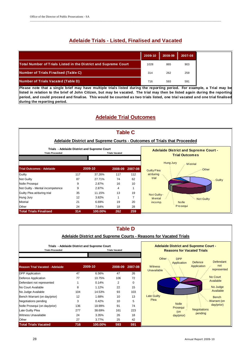### **Adelaide Trials - Listed, Finalised and Vacated**

\_\_\_\_\_\_\_\_\_\_\_\_\_\_\_\_\_\_\_\_\_\_\_\_\_\_\_\_\_\_\_\_\_\_\_\_\_\_\_\_\_\_\_\_\_\_\_\_\_\_\_\_\_\_\_\_\_\_\_\_\_\_\_\_\_\_\_\_\_\_\_\_\_\_\_\_\_\_\_\_\_\_\_\_\_\_\_\_\_\_\_\_\_\_\_\_\_\_\_\_\_\_\_\_\_\_\_\_\_\_\_\_\_\_\_\_\_\_\_\_\_\_\_\_\_\_\_\_\_

|                                                                 | 2009-10 | 2008-09 | 2007-08 |
|-----------------------------------------------------------------|---------|---------|---------|
| Total Number of Trials Listed in the District and Supreme Court | 1028    | 865     | 903     |
| <b>Number of Trials Finalised (Table C)</b>                     | 314     | 262     | 259     |
| <b>Number of Trials Vacated (Table D)</b>                       | 716     | 593     | 591     |

**Please note that a single brief may have multiple trials listed during the reporting period. For example, a Trial may be listed in relation to the brief of John Citizen, but may be vacated. The trial may then be listed again during the reporting period, and could proceed and finalise. This would be counted as two trials listed, one trial vacated and one trial finalised during the reporting period.**

### **Adelaide Trial Outcomes**



|                                        |     |                                              |                       | <b>Table D</b> | <b>Adelaide District and Supreme Courts - Reasons for Vacated Trials</b>                                     |
|----------------------------------------|-----|----------------------------------------------|-----------------------|----------------|--------------------------------------------------------------------------------------------------------------|
| <b>Trials Proceeded</b>                |     | Trials - Adelaide District and Supreme Court | <b>Trials Vacated</b> |                | <b>Adelaide District and Supreme Court -</b><br><b>Reasons for Vacated Trials</b><br>Other $-$<br><b>DPP</b> |
| <b>Reason Trial Vacated - Adelaide</b> |     | 2009-10                                      | 2008-09               | 2007-08        | Defendant<br>Defence<br>Application<br>not<br>Application<br><b>Witness</b><br>represented<br>Unavailable    |
| <b>DPP</b> Application                 | 47  | 6.56%                                        | 47                    | 26             |                                                                                                              |
| Defence Application                    | 77  | 10.75%                                       | 106                   | 72             | No Court                                                                                                     |
| Defendant not represented              |     | 0.14%                                        | $\overline{2}$        | $\mathbf 0$    | Available                                                                                                    |
| No Court Available                     | 8   | 1.12%                                        | 22                    | 15             | No Judge                                                                                                     |
| No Judge Available                     | 104 | 14.53%                                       | 93                    | 103            | Available                                                                                                    |
| Bench Warrant (on day/prior)           | 12  | 1.68%                                        | 10                    | 13             | <b>Late Guilty</b><br><b>Bench</b>                                                                           |
| Negotiations pending                   | 3   | 0.42%                                        | 10                    | 5              | Plea<br>Warrant (on                                                                                          |
| Nolle Prosequi (on day/prior)          | 136 | 18.99%                                       | 91                    | 74             | <b>Nolle</b><br>day/prior)                                                                                   |
| Late Guilty Plea                       | 277 | 38.69%                                       | 161                   | 223            | Prosequi<br><b>Negotiations</b><br>(on                                                                       |
| Witness Unavailable                    | 24  | 3.35%                                        | 26                    | 18             | pending<br>day/prior)                                                                                        |
| Other                                  | 27  | 3.77%                                        | 25                    | 42             |                                                                                                              |
| <b>Total Trials Vacated</b>            | 716 | 100.00%                                      | 593                   | 591            |                                                                                                              |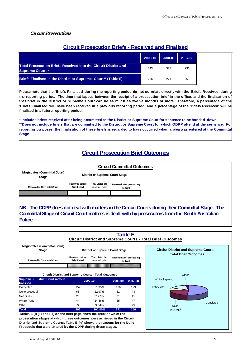#### **Circuit Prosecutions**

#### **Circuit Prosecution Briefs - Received and Finalised**

\_\_\_\_\_\_\_\_\_\_\_\_\_\_\_\_\_\_\_\_\_\_\_\_\_\_\_\_\_\_\_\_\_\_\_\_\_\_\_\_\_\_\_\_\_\_\_\_\_\_\_\_\_\_\_\_\_\_\_\_\_\_\_\_\_\_\_\_\_\_\_\_\_\_\_\_\_\_\_\_\_\_\_\_\_\_\_\_\_\_\_\_\_\_\_\_\_\_\_\_\_\_\_\_\_\_\_\_\_\_\_\_\_\_\_\_\_\_\_\_\_\_\_\_\_\_\_\_\_

|                                                                                                  | 2009-10 | 2008-09 | 2007-08 |
|--------------------------------------------------------------------------------------------------|---------|---------|---------|
| <b>Total Prosecution Briefs Received into the Circuit District and</b><br><b>Supreme Courts*</b> | 343     | 377     | 236     |
| Briefs Finalised in the District or Supreme Court** (Table E)                                    | 296     | 271     | 256     |

**Please note that the 'Briefs Finalised' during the reporting period do not correlate directly with the 'Briefs Received' during the reporting period. The time that lapses between the receipt of a prosecution brief in the office, and the finalisation of that brief in the District or Supreme Court can be as much as twelve months or more. Therefore, a percentage of the 'Briefs Finalised' will have been received in a previous reporting period, and a percentage of the 'Briefs Received' will be finalised in a future reporting period.**

**\* Includes briefs received after being committed to the District or Supreme Court for sentence to be handed down. \*\*Does not include briefs that are committed to the District or Supreme Court for which ODPP attend at the sentence. For reporting purposes, the finalisation of these briefs is regarded to have occurred when a plea was entered at the Committal Stage**

#### **Circuit Prosecution Brief Outcomes**



**NB - The ODPP does not deal with matters in the Circuit Courts during their Committal Stage. The Committal Stage of Circuit Court matters is dealt with by prosecutors from the South Australian Police.**

| <b>Total Brief Outcomes</b> |
|-----------------------------|
|                             |
|                             |
|                             |
|                             |
|                             |
| Convicted                   |
|                             |
|                             |
|                             |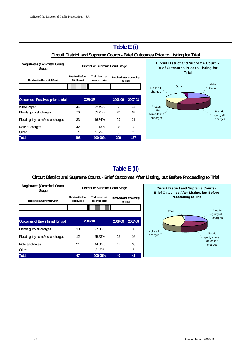

| Table E (ii)<br>Circuit District and Supreme Courts - Brief Outcomes After Listing, but Before Proceeding to Trial |                                               |                                           |                 |                                       |                                                                                                 |                       |
|--------------------------------------------------------------------------------------------------------------------|-----------------------------------------------|-------------------------------------------|-----------------|---------------------------------------|-------------------------------------------------------------------------------------------------|-----------------------|
| <b>Magistrates (Committal Court)</b><br><b>Stage</b>                                                               |                                               | <b>District or Supreme Court Stage</b>    |                 |                                       | <b>Circuit District and Supreme Courts -</b><br><b>Brief Outcomes After Listing, but Before</b> |                       |
| <b>Resolved in Committal Court</b>                                                                                 | <b>Resolved before</b><br><b>Trial Listed</b> | <b>Trial Listed but</b><br>resolved prior |                 | Resolved after proceeding<br>to Trial | <b>Proceeding to Trial</b>                                                                      |                       |
|                                                                                                                    |                                               |                                           |                 |                                       | Other $\neg$                                                                                    | Pleads<br>guilty all  |
| <b>Outcomes of Briefs listed for trial</b>                                                                         |                                               | 2009-10                                   | 2008-09         | 2007-08                               |                                                                                                 | charges               |
| Pleads guilty all charges                                                                                          | 13                                            | 27.66%                                    | 12              | 10 <sup>10</sup>                      | Nolle all                                                                                       |                       |
| Pleads quilty some/lesser charges                                                                                  | 12                                            | 25.53%                                    | 16              | 16                                    | charges                                                                                         | Pleads<br>guilty some |
| Nolle all charges                                                                                                  | 21                                            | 44.68%                                    | 12 <sup>2</sup> | 10                                    |                                                                                                 | or lesser<br>charges  |
| Other                                                                                                              |                                               | 2.13%                                     |                 | 5                                     |                                                                                                 |                       |
| <b>Total</b>                                                                                                       | 47                                            | 100.00%                                   | 40              | 41                                    |                                                                                                 |                       |

\_\_\_\_\_\_\_\_\_\_\_\_\_\_\_\_\_\_\_\_\_\_\_\_\_\_\_\_\_\_\_\_\_\_\_\_\_\_\_\_\_\_\_\_\_\_\_\_\_\_\_\_\_\_\_\_\_\_\_\_\_\_\_\_\_\_\_\_\_\_\_\_\_\_\_\_\_\_\_\_\_\_\_\_\_\_\_\_\_\_\_\_\_\_\_\_\_\_\_\_\_\_\_\_\_\_\_\_\_\_\_\_\_\_\_\_\_\_\_\_\_\_\_\_\_\_\_\_\_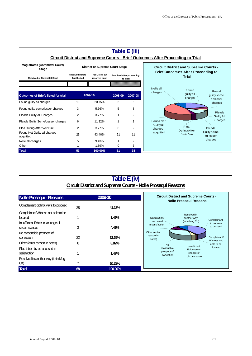

\_\_\_\_\_\_\_\_\_\_\_\_\_\_\_\_\_\_\_\_\_\_\_\_\_\_\_\_\_\_\_\_\_\_\_\_\_\_\_\_\_\_\_\_\_\_\_\_\_\_\_\_\_\_\_\_\_\_\_\_\_\_\_\_\_\_\_\_\_\_\_\_\_\_\_\_\_\_\_\_\_\_\_\_\_\_\_\_\_\_\_\_\_\_\_\_\_\_\_\_\_\_\_\_\_\_\_\_\_\_\_\_\_\_\_\_\_\_\_\_\_\_\_\_\_\_\_\_\_

| Table E(iv)<br><b>Circuit District and Supreme Courts - Nolle Prosequi Reasons</b> |         |                   |                                                                                                                |  |
|------------------------------------------------------------------------------------|---------|-------------------|----------------------------------------------------------------------------------------------------------------|--|
| Nolle Prosequi - Reasons                                                           |         | 2009-10           | <b>Circuit District and Supreme Courts -</b><br><b>Nolle Prosequi Reasons</b>                                  |  |
| Complainant did not want to proceed                                                | 28      | 41.18%            |                                                                                                                |  |
| Complainant/Witness not able to be<br>llocated                                     |         | 1.47%             | Resolved in<br>Plea taken by<br>another way<br>Complainant<br>(ie in Mag Crt)<br>co-accused                    |  |
| Insufficient Evidence/change of<br>diraumstances<br>No reasonable prospect of      | 3       | 4.41%             | did not want<br>in satisfaction<br>to proceed<br>Other (enter                                                  |  |
| conviction                                                                         | 22      | 32.35%            | reason in<br>Complainant/<br>notes)                                                                            |  |
| Other (enter reason in notes)                                                      | 6       | 8.82%             | Witness not<br>able to be<br><b>No</b>                                                                         |  |
| Plea taken by co-accused in<br>satisfaction                                        |         | 1.47%             | Insufficient<br>located<br>reasonable<br>Evidence or<br>prospect of<br>change of<br>conviction<br>circumstance |  |
| Resolved in another way (ie in Mag                                                 |         |                   |                                                                                                                |  |
| Crt)<br><b>Total</b>                                                               | 7<br>68 | 10.29%<br>100.00% |                                                                                                                |  |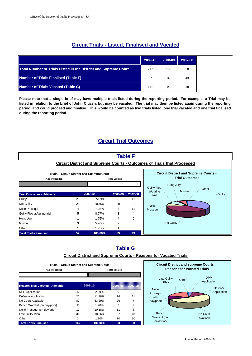### **Circuit Trials - Listed, Finalised and Vacated**

\_\_\_\_\_\_\_\_\_\_\_\_\_\_\_\_\_\_\_\_\_\_\_\_\_\_\_\_\_\_\_\_\_\_\_\_\_\_\_\_\_\_\_\_\_\_\_\_\_\_\_\_\_\_\_\_\_\_\_\_\_\_\_\_\_\_\_\_\_\_\_\_\_\_\_\_\_\_\_\_\_\_\_\_\_\_\_\_\_\_\_\_\_\_\_\_\_\_\_\_\_\_\_\_\_\_\_\_\_\_\_\_\_\_\_\_\_\_\_\_\_\_\_\_\_\_\_\_\_

|                                                                 | 2009-10 | $\parallel$ 2008-09 $\parallel$ 2007-08 |    |
|-----------------------------------------------------------------|---------|-----------------------------------------|----|
| Total Number of Trials Listed in the District and Supreme Court | 217     | 156                                     | 98 |
| <b>Number of Trials Finalised (Table F)</b>                     | 57      | 32                                      | 43 |
| <b>Number of Trials Vacated (Table G)</b>                       | 167     | 93                                      | 58 |

**Please note that a single brief may have multiple trials listed during the reporting period. For example, a Trial may be listed in relation to the brief of John Citizen, but may be vacated. The trial may then be listed again during the reporting period, and could proceed and finalise. This would be counted as two trials listed, one trial vacated and one trial finalised during the reporting period.** 

### **Circuit Trial Outcomes**



|                                                  |                |                                             | <b>Table G</b>  |                                   |                                                                         |                                              |
|--------------------------------------------------|----------------|---------------------------------------------|-----------------|-----------------------------------|-------------------------------------------------------------------------|----------------------------------------------|
|                                                  |                |                                             |                 |                                   | <b>Circuit District and Supreme Courts - Reasons for Vacated Trials</b> |                                              |
|                                                  |                | Trials - Circuit District and Supreme Court |                 |                                   |                                                                         | <b>Circuit District and supreme Courts =</b> |
| <b>Trials Proceeded</b><br><b>Trials Vacated</b> |                |                                             |                 | <b>Reasons for Vacated Trials</b> |                                                                         |                                              |
|                                                  |                |                                             |                 |                                   |                                                                         | <b>DPP</b>                                   |
| <b>Reason Trial Vacated - Adelaide</b>           |                | 2009-10                                     | 2008-09         | 2007-08                           | <b>Late Guilty</b><br>Plea                                              | Other<br>Application<br>Defence              |
| <b>DPP</b> Application                           | 5              | 2.99%                                       | $\Omega$        | 2                                 | <b>Nolle</b><br>Prosegui                                                | Application                                  |
| Defence Application                              | 20             | 11.98%                                      | 16              | 11                                | (on                                                                     |                                              |
| No Court Available                               | 89             | 53.29%                                      | 26              | 7                                 | day/prior)                                                              |                                              |
| Bench Warrant (on day/prior)                     | $\overline{2}$ | 1.20%                                       | 3               | $\overline{2}$                    |                                                                         |                                              |
| Nolle Prosequi (on day/prior)                    | 17             | 10.18%                                      | 11              | 8                                 |                                                                         |                                              |
| Late Guilty Plea                                 | 31             | 18.56%                                      | 27              | 18                                | Bench                                                                   | No Court                                     |
| Other                                            | 3              | 1.80%                                       | 10 <sup>1</sup> | 10                                | Warrant (on                                                             | Available                                    |
| <b>Total Trials Finalised</b>                    | 167            | 100.00%                                     | 93              | 58                                | day/prior)                                                              |                                              |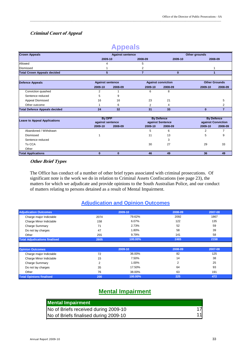#### **Criminal Court of Appeal**

|                                      |                         | $\sim$ $\sim$ $\sim$ $\sim$ $\sim$ |                  |                           |                      |                   |
|--------------------------------------|-------------------------|------------------------------------|------------------|---------------------------|----------------------|-------------------|
| <b>Crown Appeals</b>                 | <b>Against sentence</b> |                                    |                  |                           | Other grounds        |                   |
|                                      | 2009-10                 |                                    | 2008-09          | 2009-10                   | 2008-09              |                   |
| Allowed                              | 4                       |                                    | 5                |                           |                      |                   |
| <b>Dismissed</b>                     |                         |                                    | 2                |                           |                      |                   |
| <b>Total Crown Appeals decided</b>   | 5                       |                                    | $\overline{7}$   | $\bf{0}$                  | 1                    |                   |
| <b>Defence Appeals</b>               | <b>Against sentence</b> |                                    |                  | <b>Against conviction</b> | <b>Other Grounds</b> |                   |
|                                      | 2009-10                 | 2008-09                            | 2009-10          | 2008-09                   | 2009-10              | 2008-09           |
| Conviction quashed                   | 2                       |                                    | 6                | 8                         |                      |                   |
| Sentence reduced                     | 5                       | 9                                  |                  |                           |                      |                   |
| Appeal Dismissed                     | 16                      | 16                                 | 23               | 21                        |                      | 5                 |
| Other outcome                        | 1                       | 6                                  | 2                | 4                         |                      | 2                 |
| <b>Total Defence Appeals decided</b> | 24                      | 32                                 | 31               | 33                        | $\bf{0}$             | $\overline{7}$    |
| <b>Leave to Appeal Applications</b>  | <b>By DPP</b>           |                                    |                  | <b>By Defence</b>         |                      | <b>By Defence</b> |
|                                      | against sentence        |                                    | against Sentence |                           | against Conviction   |                   |
|                                      | 2009-10                 | 2008-09                            | 2009-10          | 2008-09                   | 2009-10              | 2008-09           |
| Abandoned / Withdrawn                |                         |                                    | 5                | 6                         | 2                    |                   |
| Dismissed                            |                         |                                    | 11               | 13                        | 5                    | 9                 |
| Sentence reduced                     |                         |                                    |                  | 3                         |                      |                   |
| To CCA                               |                         |                                    | 30               | 27                        | 29                   | 33                |
| Other                                |                         |                                    |                  |                           |                      |                   |
| <b>Total Applications</b>            | $\bf{0}$                | $\bf{0}$                           | 46               | 49                        | 36                   | 49                |

#### **Other Brief Types**

The Office has conduct of a number of other brief types associated with criminal prosecutions. Of significant note is the work we do in relation to Criminal Assets Confiscations (see page 23), the matters for which we adjudicate and provide opinions to the South Australian Police, and our conduct of matters relating to persons detained as a result of Mental Impairment.

#### **Adjudication and Opinion Outcomes**

| <b>Adjudication Outcomes</b>         |      | 2009-10 | 2008-09 | 2007-08 |
|--------------------------------------|------|---------|---------|---------|
| Charge major Indictable              | 2074 | 79.62%  | 2092    | 1867    |
| Charge Minor Indictable              | 158  | 6.07%   | 122     | 135     |
| <b>Charge Summary</b>                | 71   | 2.73%   | 52      | 59      |
| Do not lay charges                   | 47   | 1.80%   | 58      | 39      |
| Other                                | 255  | 9.79%   | 141     | 58      |
| <b>Total Adjudications finalised</b> | 2605 | 100.00% | 2465    | 2158    |
|                                      |      |         |         |         |
| <b>Opinion Outcomes</b>              |      | 2009-10 | 2008-09 | 2007-08 |
| Charge major Indictable              | 72   | 36.00%  | 82      | 125     |
| Charge Minor Indictable              | 15   | 7.50%   | 14      | 38      |
| <b>Charge Summary</b>                | 2    | 1.00%   | 2       | 25      |
| Do not lay charges                   | 35   | 17.50%  | 64      | 93      |
| Other                                | 76   | 38.00%  | 63      | 191     |
| <b>Total Opinions finalised</b>      | 200  | 100.00% | 225     | 472     |

### **Mental Impairment**

| <b>Mental Impairment</b>              |    |
|---------------------------------------|----|
| No of Briefs received during 2009-10  |    |
| No of Briefs finalised during 2009-10 | 11 |

### **Appeals**

\_\_\_\_\_\_\_\_\_\_\_\_\_\_\_\_\_\_\_\_\_\_\_\_\_\_\_\_\_\_\_\_\_\_\_\_\_\_\_\_\_\_\_\_\_\_\_\_\_\_\_\_\_\_\_\_\_\_\_\_\_\_\_\_\_\_\_\_\_\_\_\_\_\_\_\_\_\_\_\_\_\_\_\_\_\_\_\_\_\_\_\_\_\_\_\_\_\_\_\_\_\_\_\_\_\_\_\_\_\_\_\_\_\_\_\_\_\_\_\_\_\_\_\_\_\_\_\_\_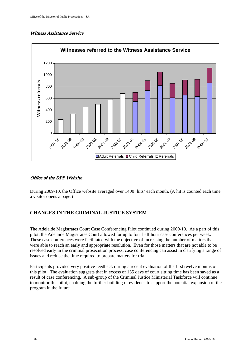#### **Witness Assistance Service**



\_\_\_\_\_\_\_\_\_\_\_\_\_\_\_\_\_\_\_\_\_\_\_\_\_\_\_\_\_\_\_\_\_\_\_\_\_\_\_\_\_\_\_\_\_\_\_\_\_\_\_\_\_\_\_\_\_\_\_\_\_\_\_\_\_\_\_\_\_\_\_\_\_\_\_\_\_\_\_\_\_\_\_\_\_\_\_\_\_\_\_\_\_\_\_\_\_\_\_\_\_\_\_\_\_\_\_\_\_\_\_\_\_\_\_\_\_\_\_\_\_\_\_\_\_\_\_\_\_

#### **Office of the DPP Website**

During 2009-10, the Office website averaged over 1400 'hits' each month. (A hit is counted each time a visitor opens a page.)

#### **CHANGES IN THE CRIMINAL JUSTICE SYSTEM**

The Adelaide Magistrates Court Case Conferencing Pilot continued during 2009-10. As a part of this pilot, the Adelaide Magistrates Court allowed for up to four half hour case conferences per week. These case conferences were facilitated with the objective of increasing the number of matters that were able to reach an early and appropriate resolution. Even for those matters that are not able to be resolved early in the criminal prosecution process, case conferencing can assist in clarifying a range of issues and reduce the time required to prepare matters for trial.

Participants provided very positive feedback during a recent evaluation of the first twelve months of this pilot. The evaluation suggests that in excess of 135 days of court sitting time has been saved as a result of case conferencing. A sub-group of the Criminal Justice Ministerial Taskforce will continue to monitor this pilot, enabling the further building of evidence to support the potential expansion of the program in the future.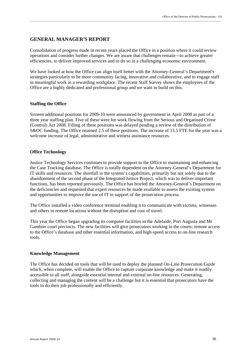#### **GENERAL MANAGER'S REPORT**

Consolidation of progress made in recent years placed the Office in a position where it could review operations and consider further changes. We are aware that challenges remain—to achieve greater efficiencies, to deliver improved services and to do so in a challenging economic environment.

\_\_\_\_\_\_\_\_\_\_\_\_\_\_\_\_\_\_\_\_\_\_\_\_\_\_\_\_\_\_\_\_\_\_\_\_\_\_\_\_\_\_\_\_\_\_\_\_\_\_\_\_\_\_\_\_\_\_\_\_\_\_\_\_\_\_\_\_\_\_\_\_\_\_\_\_\_\_\_\_\_\_\_\_\_\_\_\_\_\_\_\_\_\_\_\_\_\_\_\_\_\_\_\_\_\_\_\_\_\_\_\_\_\_\_\_\_\_\_\_\_\_\_\_\_\_\_\_\_

We have looked at how the Office can align itself better with the Attorney-General's Department's strategies particularly to be more community facing, innovative and collaborative, and to engage staff in meaningful work in a rewarding workplace. The recent Staff Survey shows the employees of the Office are a highly dedicated and professional group and we want to build on this.

#### **Staffing the Office**

Sixteen additional positions for 2009-10 were announced by government in April 2008 as part of a three year staffing plan. Five of these were for work flowing from the Serious and Organised Crime (Control) Act 2008. Filling of these positions was delayed pending a review of the distribution of S&OC funding. The Office retained 2.5 of these positions. The increase of 13.5 FTE for the year was a welcome increase of legal, administrative and witness assistance resources.

#### **Office Technology**

Justice Technology Services continues to provide support to the Office in maintaining and enhancing the Case Tracking database. The Office is totally dependent on the Attorney-General's Department for IT skills and resources. The shortfall in the system's capabilities, primarily but not solely due to the abandonment of the second phase of the Integrated Justice Project, which was to deliver important functions, has been reported previously. The Office has briefed the Attorney-General's Department on the deficiencies and requested that expert resources be made available to assess the existing system and opportunities to improve the use of IT in support of the prosecution process.

The Office installed a video conference terminal enabling it to communicate with victims, witnesses and others in remote locations without the disruption and cost of travel.

This year the Office began upgrading its computer facilities in the Adelaide, Port Augusta and Mt Gambier court precincts. The new facilities will give prosecutors working in the courts, remote access to the Office's database and other essential information, and high-speed access to on-line research tools.

#### **Knowledge Management**

The Office has decided on tools that will be used to deploy the planned On-Line Prosecution Guide which, when complete, will enable the Office to capture corporate knowledge and make it readily accessible to all staff, alongside essential internal and external on-line resources. Generating, collecting and managing the content will be a challenge but it is essential that prosecutors have the tools to do their job professionally and efficiently.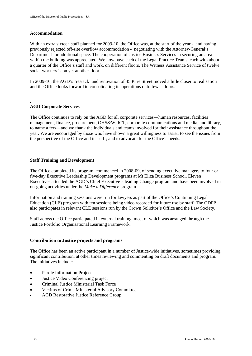#### **Accommodation**

With an extra sixteen staff planned for 2009-10, the Office was, at the start of the year - and having previously rejected off-site overflow accommodation - negotiating with the Attorney-General's Department for additional space. The cooperation of Justice Business Services in securing an area within the building was appreciated. We now have each of the Legal Practice Teams, each with about a quarter of the Office's staff and work, on different floors. The Witness Assistance Service of twelve social workers is on yet another floor.

In 2009-10, the AGD's 'restack' and renovation of 45 Pirie Street moved a little closer to realisation and the Office looks forward to consolidating its operations onto fewer floors.

#### . **AGD Corporate Services**

The Office continues to rely on the AGD for all corporate services—human resources, facilities management, finance, procurement, OHS&W, ICT, corporate communications and media, and library, to name a few—and we thank the individuals and teams involved for their assistance throughout the year. We are encouraged by those who have shown a great willingness to assist; to see the issues from the perspective of the Office and its staff; and to advocate for the Office's needs.

#### **Staff Training and Development**

The Office completed its program, commenced in 2008-09, of sending executive managers to four or five-day Executive Leadership Development programs at Mt Eliza Business School. Eleven Executives attended the AGD's Chief Executive's leading Change program and have been involved in on-going activities under the *Make a Difference* program.

Information and training sessions were run for lawyers as part of the Office's Continuing Legal Education (CLE) program with ten sessions being video recorded for future use by staff. The ODPP also participates in relevant CLE sessions run by the Crown Solicitor's Office and the Law Society.

Staff across the Office participated in external training, most of which was arranged through the Justice Portfolio Organisational Learning Framework.

#### **Contribution to Justice projects and programs**

The Office has been an active participant in a number of Justice-wide initiatives, sometimes providing significant contribution, at other times reviewing and commenting on draft documents and program. The initiatives include:

- Parole Information Project
- Justice Video Conferencing project
- Criminal Justice Ministerial Task Force
- Victims of Crime Ministerial Advisory Committee
- AGD Restorative Justice Reference Group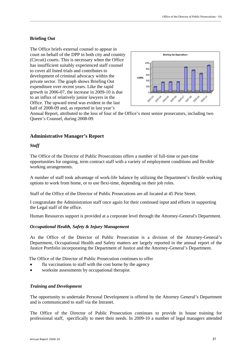#### **Briefing Out**

The Office briefs external counsel to appear in court on behalf of the DPP in both city and country (Circuit) courts. This is necessary when the Office has insufficient suitably experienced staff counsel to cover all listed trials and contributes to development of criminal advocacy within the private sector. The graph shows Briefing Out expenditure over recent years. Like the rapid growth in 2006-07, the increase in 2009-10 is due to an influx of relatively junior lawyers in the Office. The upward trend was evident in the last half of 2008-09 and, as reported in last year's



Annual Report, attributed to the loss of four of the Office's most senior prosecutors, including two Queen's Counsel, during 2008-09.

\_\_\_\_\_\_\_\_\_\_\_\_\_\_\_\_\_\_\_\_\_\_\_\_\_\_\_\_\_\_\_\_\_\_\_\_\_\_\_\_\_\_\_\_\_\_\_\_\_\_\_\_\_\_\_\_\_\_\_\_\_\_\_\_\_\_\_\_\_\_\_\_\_\_\_\_\_\_\_\_\_\_\_\_\_\_\_\_\_\_\_\_\_\_\_\_\_\_\_\_\_\_\_\_\_\_\_\_\_\_\_\_\_\_\_\_\_\_\_\_\_\_\_\_\_\_\_\_\_

#### **Administrative Manager's Report**

#### *Staff*

The Office of the Director of Public Prosecutions offers a number of full-time or part-time opportunities for ongoing, term contract staff with a variety of employment conditions and flexible working arrangements.

A number of staff took advantage of work-life balance by utilizing the Department's flexible working options to work from home, or to use flexi-time, depending on their job roles.

Staff of the Office of the Director of Public Prosecutions are all located at 45 Pirie Street.

I congratulate the Administration staff once again for their continued input and efforts in supporting the Legal staff of the office.

Human Resources support is provided at a corporate level through the Attorney-General's Department.

#### *Occupational Health, Safety & Injury Management*

As the Office of the Director of Public Prosecution is a division of the Attorney-General's Department, Occupational Health and Safety matters are largely reported in the annual report of the Justice Portfolio incorporating the Department of Justice and the Attorney-General's Department.

The Office of the Director of Public Prosecution continues to offer

- flu vaccinations to staff with the cost borne by the agency
- worksite assessments by occupational therapist

#### *Training and Development*

The opportunity to undertake Personal Development is offered by the Attorney General's Department and is communicated to staff via the Intranet.

The Office of the Director of Public Prosecution continues to provide in house training for professional staff, specifically to meet their needs. In 2009-10 a number of legal managers attended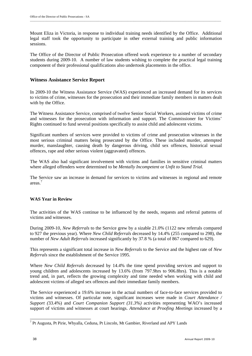Mount Eliza in Victoria, in response to individual training needs identified by the Office. Additional legal staff took the opportunity to participate in other external training and public information sessions.

The Office of the Director of Public Prosecution offered work experience to a number of secondary students during 2009-10. A number of law students wishing to complete the practical legal training component of their professional qualifications also undertook placements in the office.

#### **Witness Assistance Service Report**

In 2009-10 the Witness Assistance Service (WAS) experienced an increased demand for its services to victims of crime, witnesses for the prosecution and their immediate family members in matters dealt with by the Office.

The Witness Assistance Service, comprised of twelve Senior Social Workers, assisted victims of crime and witnesses for the prosecution with information and support. The Commissioner for Victims' Rights continued to fund several positions specifically to assist child and adolescent victims.

Significant numbers of services were provided to victims of crime and prosecution witnesses in the most serious criminal matters being prosecuted by the Office. These included murder, attempted murder, manslaughter, causing death by dangerous driving, child sex offences, historical sexual offences, rape and other serious violent (aggravated) offences.

The WAS also had significant involvement with victims and families in sensitive criminal matters where alleged offenders were determined to be *Mentally Incompetent* or *Unfit to Stand Trial.* 

The Service saw an increase in demand for services to victims and witnesses in regional and remote areas.<sup>7</sup>

#### **WAS Year in Review**

The activities of the WAS continue to be influenced by the needs, requests and referral patterns of victims and witnesses.

During 2009-10, *New Referrals* to the Service grew by a sizable 21.0% (1122 new referrals compared to 927 the previous year). Where *New Child Referrals* decreased by 14.4% (255 compared to 298), the number of *New Adult Referrals* increased significantly by 37.8 % (a total of 867 compared to 629).

This represents a significant total increase in *New Referrals* to the Service and the highest rate of *New Referrals* since the establishment of the Service 1995.

Where *New Child Referrals* decreased by 14.4% the time spend providing services and support to young children and adolescents increased by 13.6% (from 797.9hrs to 906.8hrs). This is a notable trend and, in part, reflects the growing complexity and time needed when working with child and adolescent victims of alleged sex offences and their immediate family members.

The Service experienced a 19.6% increase in the actual numbers of face-to-face services provided to victims and witnesses. Of particular note, significant increases were made in *Court Attendance / Support (*33.4%) and *Court Companion Support (31.3%)* activities representing WAO's increased support of victims and witnesses at court hearings. *Attendance at Proofing Meetings* increased by a

<sup>&</sup>lt;sup>7</sup> Pt Augusta, Pt Pirie, Whyalla, Ceduna, Pt Lincoln, Mt Gambier, Riverland and APY Lands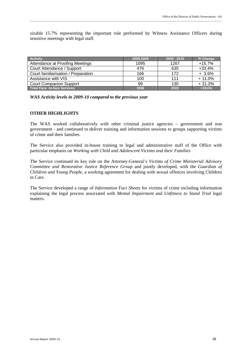sizable 15.7% representing the important role performed by Witness Assistance Officers during sensitive meetings with legal staff.

\_\_\_\_\_\_\_\_\_\_\_\_\_\_\_\_\_\_\_\_\_\_\_\_\_\_\_\_\_\_\_\_\_\_\_\_\_\_\_\_\_\_\_\_\_\_\_\_\_\_\_\_\_\_\_\_\_\_\_\_\_\_\_\_\_\_\_\_\_\_\_\_\_\_\_\_\_\_\_\_\_\_\_\_\_\_\_\_\_\_\_\_\_\_\_\_\_\_\_\_\_\_\_\_\_\_\_\_\_\_\_\_\_\_\_\_\_\_\_\_\_\_\_\_\_\_\_\_\_

| <b>Activity</b>                     | 2008-2009 | $2009 - 2010$ | % Change |
|-------------------------------------|-----------|---------------|----------|
| Attendance at Proofing Meetings     | 1095      | 1267          | $+15.7%$ |
| Court Attendance / Support          | 476       | 635           | $+33.4%$ |
| Court familiarisation / Preparation | 166       | 172           | $+3.6%$  |
| Assistance with VIS                 | 100       | 111           | $+11.0%$ |
| <b>Court Companion Support</b>      | 99        | 130           | $+31.3%$ |
| <b>Total Face -to-face Services</b> | 1936      | 2315          | $+19.6%$ |

*WAS Activity levels in 2009-10 compared to the previous year* 

#### **OTHER HIGHLIGHTS**

The WAS worked collaboratively with other criminal justice agencies – government and non government - and continued to deliver training and information sessions to groups supporting victims of crime and their families.

The Service also provided in-house training to legal and administrative staff of the Office with particular emphasis on *Working with Child and Adolescent Victims and their Families* 

The Service continued its key role on the Attorney-General's *Victims of Crime Ministerial Advisory Committee and Restorative Justice Reference Group* and jointly developed, with the *Guardian of Children and Young People,* a working agreement for dealing with sexual offences involving Children in Care.

The Service developed a range of *Information Fact Sheets* for victims of crime including information explaining the legal process associated with *Mental Impairment* and *Unfitness to Stand Trial* legal matters.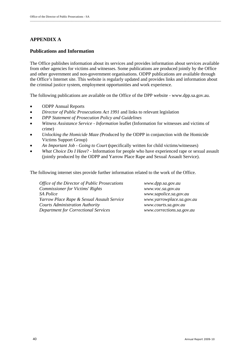### **APPENDIX A**

#### **Publications and Information**

The Office publishes information about its services and provides information about services available from other agencies for victims and witnesses. Some publications are produced jointly by the Office and other government and non-government organisations. ODPP publications are available through the Office's Internet site. This website is regularly updated and provides links and information about the criminal justice system, employment opportunities and work experience.

\_\_\_\_\_\_\_\_\_\_\_\_\_\_\_\_\_\_\_\_\_\_\_\_\_\_\_\_\_\_\_\_\_\_\_\_\_\_\_\_\_\_\_\_\_\_\_\_\_\_\_\_\_\_\_\_\_\_\_\_\_\_\_\_\_\_\_\_\_\_\_\_\_\_\_\_\_\_\_\_\_\_\_\_\_\_\_\_\_\_\_\_\_\_\_\_\_\_\_\_\_\_\_\_\_\_\_\_\_\_\_\_\_\_\_\_\_\_\_\_\_\_\_\_\_\_\_\_\_

The following publications are available on the Office of the DPP website - www.dpp.sa.gov.au.

- ODPP Annual Reports
- *Director of Public Prosecutions Act 1991* and links to relevant legislation
- *DPP Statement of Prosecution Policy and Guidelines*
- *Witness Assistance Service Information* leaflet (Information for witnesses and victims of crime)
- *Unlocking the Homicide Maze (*Produced by the ODPP in conjunction with the Homicide Victims Support Group)
- *An Important Job Going to Court* **(**specifically written for child victims/witnesses)
- *What Choice Do I Have*? Information for people who have experienced rape or sexual assault (jointly produced by the ODPP and Yarrow Place Rape and Sexual Assault Service).

The following internet sites provide further information related to the work of the Office.

*Office of the Director of Public Prosecutions www.dpp.sa.gov.au Commissioner for Victims' Rights www.voc.sa.gov.au SA Police www.sapolice.sa.gov.au Yarrow Place Rape & Sexual Assault Service www.yarrowplace.sa.gov.au Courts Administration Authority www.courts.sa.gov.au Department for Correctional Services www.corrections.sa.gov.au*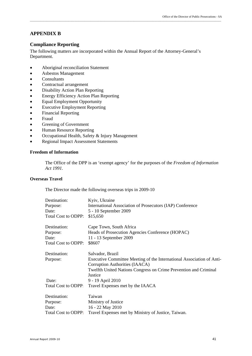#### **APPENDIX B**

#### **Compliance Reporting**

The following matters are incorporated within the Annual Report of the Attorney-General's Department.

\_\_\_\_\_\_\_\_\_\_\_\_\_\_\_\_\_\_\_\_\_\_\_\_\_\_\_\_\_\_\_\_\_\_\_\_\_\_\_\_\_\_\_\_\_\_\_\_\_\_\_\_\_\_\_\_\_\_\_\_\_\_\_\_\_\_\_\_\_\_\_\_\_\_\_\_\_\_\_\_\_\_\_\_\_\_\_\_\_\_\_\_\_\_\_\_\_\_\_\_\_\_\_\_\_\_\_\_\_\_\_\_\_\_\_\_\_\_\_\_\_\_\_\_\_\_\_\_\_

- Aboriginal reconciliation Statement
- Asbestos Management
- Consultants
- Contractual arrangement
- Disability Action Plan Reporting
- Energy Efficiency Action Plan Reporting
- Equal Employment Opportunity
- Executive Employment Reporting
- Financial Reporting
- Fraud
- Greening of Government
- Human Resource Reporting
- Occupational Health, Safety & Injury Management
- Regional Impact Assessment Statements

#### **Freedom of Information**

The Office of the DPP is an 'exempt agency' for the purposes of the *Freedom of Information Act 1991.* 

#### **Overseas Travel**

The Director made the following overseas trips in 2009-10

| Destination:               | Kyiv, Ukraine                                                               |
|----------------------------|-----------------------------------------------------------------------------|
| Purpose:                   | International Association of Prosecutors (IAP) Conference                   |
| Date:                      | 5 - 10 September 2009                                                       |
| <b>Total Cost to ODPP:</b> | \$15,650                                                                    |
| Destination:               | Cape Town, South Africa                                                     |
| Purpose:                   | Heads of Prosecution Agencies Conference (HOPAC)                            |
| Date:                      | 11 - 13 September 2009                                                      |
| <b>Total Cost to ODPP:</b> | \$8607                                                                      |
| Destination:               | Salvador, Brazil                                                            |
| Purpose:                   | Executive Committee Meeting of the International Association of Anti-       |
|                            | Corruption Authorities (IAACA)                                              |
|                            | Twelfth United Nations Congress on Crime Prevention and Criminal<br>Justice |
| Date:                      |                                                                             |
|                            | 9 - 19 April 2010                                                           |
| Total Cost to ODPP:        | Travel Expenses met by the IAACA                                            |
| Destination:               | Taiwan                                                                      |
| Purpose:                   | Ministry of Justice                                                         |
| Date:                      | 16 - 22 May 2010                                                            |
| <b>Total Cost to ODPP:</b> | Travel Expenses met by Ministry of Justice, Taiwan.                         |
|                            |                                                                             |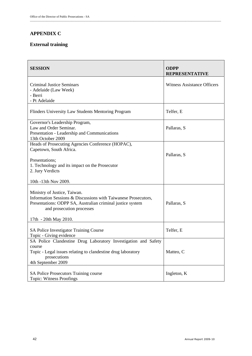### **APPENDIX C**

### **External training**

| <b>SESSION</b>                                                                                                                                                                                                     | <b>ODPP</b><br><b>REPRESENTATIVE</b> |
|--------------------------------------------------------------------------------------------------------------------------------------------------------------------------------------------------------------------|--------------------------------------|
| Criminal Justice Seminars<br>- Adelaide (Law Week)<br>- Berri<br>- Pt Adelaide                                                                                                                                     | <b>Witness Assistance Officers</b>   |
| Flinders University Law Students Mentoring Program                                                                                                                                                                 | Telfer, E                            |
| Governor's Leadership Program,<br>Law and Order Seminar.<br>Presentation - Leadership and Communications<br>13th October 2009                                                                                      | Pallaras, S                          |
| Heads of Prosecuting Agencies Conference (HOPAC),<br>Capetown, South Africa.                                                                                                                                       | Pallaras, S                          |
| Presentations;<br>1. Technology and its impact on the Prosecutor<br>2. Jury Verdicts                                                                                                                               |                                      |
| 10th -13th Nov 2009.                                                                                                                                                                                               |                                      |
| Ministry of Justice, Taiwan.<br>Information Sessions & Discussions with Taiwanese Prosecutors,<br>Presentations: ODPP SA, Australian criminal justice system<br>and prosecution processes<br>17th - 20th May 2010. | Pallaras, S                          |
| SA Police Investigator Training Course<br>Topic - Giving evidence                                                                                                                                                  | Telfer, E                            |
| SA Police Clandestine Drug Laboratory Investigation and Safety<br>course<br>Topic - Legal issues relating to clandestine drug laboratory<br>prosecutions<br>4th September 2009                                     | Matteo, C                            |
| SA Police Prosecutors Training course<br><b>Topic: Witness Proofings</b>                                                                                                                                           | Ingleton, K                          |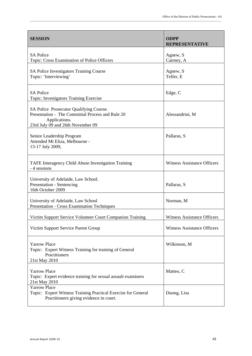| <b>SESSION</b>                                                                                                                                    | <b>ODPP</b><br><b>REPRESENTATIVE</b> |
|---------------------------------------------------------------------------------------------------------------------------------------------------|--------------------------------------|
| <b>SA Police</b><br>Topic: Cross Examination of Police Officers                                                                                   | Agnew, S<br>Cairney, A               |
| SA Police Investigators Training Course<br>Topic: 'Interviewing'                                                                                  | Agnew, S<br>Telfer, E                |
| <b>SA Police</b><br>Topic: Investigators Training Exercise                                                                                        | Edge, C                              |
| SA Police Prosecutor Qualifying Course.<br>Presentation - The Committal Process and Rule 20<br>Applications.<br>23rd July 09 and 26th November 09 | Alessandrini, M                      |
| Senior Leadership Program<br>Attended Mt Eliza, Melbourne -<br>13-17 July 2009,                                                                   | Pallaras, S                          |
| TAFE Interagency Child Abuse Investigation Training<br>- 4 sessions                                                                               | <b>Witness Assistance Officers</b>   |
| University of Adelaide, Law School.<br><b>Presentation - Sentencing</b><br>16th October 2009                                                      | Pallaras, S                          |
| University of Adelaide, Law School<br>Presentation - Cross Examination Techniques                                                                 | Norman, M                            |
| Victim Support Service Volunteer Court Companion Training                                                                                         | <b>Witness Assistance Officers</b>   |
| Victim Support Service Parent Group                                                                                                               | <b>Witness Assistance Officers</b>   |
| <b>Yarrow Place</b><br>Topic: Expert Witness Training for training of General<br>Practitioners<br>21st May 2010                                   | Wilkinson, M                         |
| <b>Yarrow Place</b><br>Topic: Expert evidence training for sexual assault examiners<br>21st May 2010                                              | Matteo, C                            |
| <b>Yarrow Place</b><br>Topic: Expert Witness Training Practical Exercise for General<br>Practitioners giving evidence in court.                   | Duong, Lisa                          |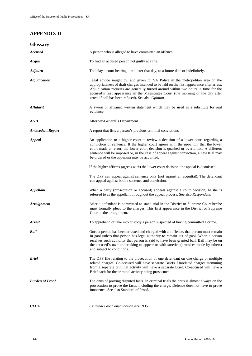### **APPENDIX D**

| <b>Glossary</b>          |                                                                                                                                                                                                                                                                                                                                                                                                                            |
|--------------------------|----------------------------------------------------------------------------------------------------------------------------------------------------------------------------------------------------------------------------------------------------------------------------------------------------------------------------------------------------------------------------------------------------------------------------|
| <b>Accused</b>           | A person who is alleged to have committed an offence.                                                                                                                                                                                                                                                                                                                                                                      |
| Acquit                   | To find an accused person not guilty at a trial.                                                                                                                                                                                                                                                                                                                                                                           |
| <b>Adjourn</b>           | To delay a court hearing, until later that day, to a future date or indefinitely.                                                                                                                                                                                                                                                                                                                                          |
| <b>Adjudication</b>      | Legal advice sought by, and given to, SA Police in the metropolitan area on the<br>appropriateness of draft charges intended to be laid on the first appearance after arrest.<br>Adjudication requests are generally turned around within two hours in time for the<br>accused's first appearance in the Magistrates Court (the morning of the day after<br>arrest if bail has been refused). See also Opinion.            |
| <b>Affidavit</b>         | A sworn or affirmed written statement which may be used as a substitute for oral<br>evidence.                                                                                                                                                                                                                                                                                                                              |
| AGD                      | Attorney-General's Department                                                                                                                                                                                                                                                                                                                                                                                              |
| <b>Antecedent Report</b> | A report that lists a person's previous criminal convictions.                                                                                                                                                                                                                                                                                                                                                              |
| <b>Appeal</b>            | An application to a higher court to review a decision of a lower court regarding a<br>conviction or sentence. If the higher court agrees with the <i>appellant</i> that the lower<br>court made an error, the lower court decision is quashed or overturned. A different<br>sentence will be imposed or, in the case of appeal against conviction, a new trial may<br>be ordered or the <i>appellant</i> may be acquitted. |
|                          | If the higher affirms (agrees with) the lower court decision, the appeal is dismissed                                                                                                                                                                                                                                                                                                                                      |
|                          | The DPP can appeal against sentence only (not against an acquittal). The defendant<br>can appeal against both a sentence and conviction.                                                                                                                                                                                                                                                                                   |
| <b>Appellant</b>         | When a party (prosecution or accused) appeals against a court decision, he/she is<br>referred to as the appellant throughout the appeal process. See also Respondent.                                                                                                                                                                                                                                                      |
| <b>Arraignment</b>       | After a defendant is committed to stand trial in the District or Supreme Court he/she<br>must formally plead to the charges. This first appearance in the District or Supreme<br>Court is the arraignment.                                                                                                                                                                                                                 |
| <b>Arrest</b>            | To apprehend or take into custody a person suspected of having committed a crime.                                                                                                                                                                                                                                                                                                                                          |
| Bail                     | Once a person has been arrested and charged with an offence, that person must remain<br>in gaol unless that person has legal authority to remain out of gaol. When a person<br>receives such authority that person is said to have been granted bail. Bail may be on<br>the accused's own undertaking to appear or with sureties (promises made by others)<br>and subject to conditions.                                   |
| <b>Brief</b>             | The DPP file relating to the prosecution of one defendant on one charge or multiple<br>related charges. Co-accused will have separate Briefs. Unrelated charges stemming<br>from a separate criminal activity will have a separate Brief. Co-accused will have a<br>Brief each for the criminal activity being prosecuted.                                                                                                 |
| <b>Burden of Proof</b>   | The onus of proving disputed facts. In criminal trials the onus is almost always on the<br>prosecution to prove the facts, including the charge. Defence does not have to prove<br>innocence. See also Standard of Proof.                                                                                                                                                                                                  |
| CLCA                     | Criminal Law Consolidation Act 1935                                                                                                                                                                                                                                                                                                                                                                                        |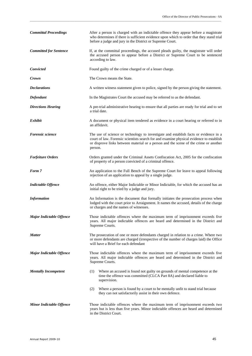| <b>Committal Proceedings</b>    | After a person is charged with an indictable offence they appear before a magistrate<br>who determines if there is sufficient evidence upon which to order that they stand trial<br>before a judge and jury in the District or Supreme Court.                                      |
|---------------------------------|------------------------------------------------------------------------------------------------------------------------------------------------------------------------------------------------------------------------------------------------------------------------------------|
| <b>Committed for Sentence</b>   | If, at the committal proceedings, the accused pleads guilty, the magistrate will order<br>the accused person to appear before a District or Supreme Court to be sentenced<br>according to law.                                                                                     |
| Convicted                       | Found guilty of the crime charged or of a lesser charge.                                                                                                                                                                                                                           |
| Crown                           | The Crown means the State.                                                                                                                                                                                                                                                         |
| <b>Declarations</b>             | A written witness statement given to police, signed by the person giving the statement.                                                                                                                                                                                            |
| Defendant                       | In the Magistrates Court the accused may be referred to as the defendant.                                                                                                                                                                                                          |
| <b>Directions Hearing</b>       | A pre-trial administrative hearing to ensure that all parties are ready for trial and to set<br>a trial date.                                                                                                                                                                      |
| <b>Exhibit</b>                  | A document or physical item tendered as evidence in a court hearing or referred to in<br>an affidavit.                                                                                                                                                                             |
| Forensic science                | The use of science or technology to investigate and establish facts or evidence in a<br>court of law. Forensic scientists search for and examine physical evidence to establish<br>or disprove links between material or a person and the scene of the crime or another<br>person. |
| <b>Forfeiture Orders</b>        | Orders granted under the Criminal Assets Confiscation Act, 2005 for the confiscation<br>of property of a person convicted of a criminal offence.                                                                                                                                   |
| Form 7                          | An application to the Full Bench of the Supreme Court for leave to appeal following<br>rejection of an application to appeal by a single judge.                                                                                                                                    |
| <b>Indictable Offence</b>       | An offence, either Major Indictable or Minor Indictable, for which the accused has an<br>initial right to be tried by a judge and jury.                                                                                                                                            |
| <b>Information</b>              | An Information is the document that formally initiates the prosecution process when<br>lodged with the court prior to Arraignment. It names the accused, details of the charge<br>or charges and the names of witnesses.                                                           |
| Major Indictable Offence        | Those indictable offences where the maximum term of imprisonment exceeds five<br>years. All major indictable offences are heard and determined in the District and<br>Supreme Courts.                                                                                              |
| <b>Matter</b>                   | The prosecution of one or more defendants charged in relation to a crime. Where two<br>or more defendants are charged (irrespective of the number of charges laid) the Office<br>will have a Brief for each defendant                                                              |
| <b>Major Indictable Offence</b> | Those indictable offences where the maximum term of imprisonment exceeds five<br>years. All major indictable offences are heard and determined in the District and<br>Supreme Courts.                                                                                              |
| <b>Mentally Incompetent</b>     | Where an accused is found not guilty on grounds of mental competence at the<br>(1)<br>time the offence was committed (CLCA Part 8A) and declared liable to<br>supervision.                                                                                                         |
|                                 | Where a person is found by a court to be mentally unfit to stand trial because<br>(2)<br>they can not satisfactorily assist in their own defence.                                                                                                                                  |
| <b>Minor Indictable Offence</b> | Those indictable offences where the maximum term of imprisonment exceeds two<br>years but is less than five years. Minor indictable offences are heard and determined<br>in the District Court.                                                                                    |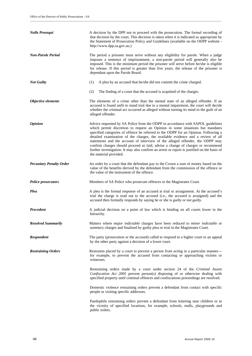| <b>Nolle Prosequi</b>          | A decision by the DPP not to proceed with the prosecution. The formal recording of<br>that decision by the court. This decision is taken when it is indicated as appropriate by<br>the Statement of Prosecution Policy and Guidelines (available on the ODPP website -<br>http://www.dpp.sa.gov.au.)                                                                                                                                                                                                                                                                                                                                    |
|--------------------------------|-----------------------------------------------------------------------------------------------------------------------------------------------------------------------------------------------------------------------------------------------------------------------------------------------------------------------------------------------------------------------------------------------------------------------------------------------------------------------------------------------------------------------------------------------------------------------------------------------------------------------------------------|
| <b>Non-Parole Period</b>       | The period a prisoner must serve without any eligibility for parole. When a judge<br>imposes a sentence of imprisonment, a non-parole period will generally also be<br>imposed. This is the minimum period the prisoner will serve before he/she is eligible<br>for release. If this period is greater than five years, the release of the prisoner is<br>dependant upon the Parole Board.                                                                                                                                                                                                                                              |
| <b>Not Guilty</b>              | (1)<br>A plea by an accused that he/she did not commit the crime charged.                                                                                                                                                                                                                                                                                                                                                                                                                                                                                                                                                               |
|                                | (2)<br>The finding of a court that the accused is acquitted of the charges.                                                                                                                                                                                                                                                                                                                                                                                                                                                                                                                                                             |
| Objective elements             | The elements of a crime other than the mental state of an alleged offender. If an<br>accused is found unfit to stand trial due to a mental impairment, the court will decide<br>whether the criminal act occurred as alleged without turning its mind to the guilt of an<br>alleged offender.                                                                                                                                                                                                                                                                                                                                           |
| <i><b>Opinion</b></i>          | Advice requested by SA Police from the ODPP in accordance with SAPOL guidelines<br>which permit discretion to request an Opinion in some situations but mandates<br>specified categories of offence be referred to the ODPP for an Opinion. Following a<br>detailed examination of the charges, the available evidence and a review of all<br>statements and the account of interview of the alleged offender, the ODPP may<br>confirm charges should proceed as laid, advise a change of charges or recommend<br>further investigation. It may also confirm an arrest or report is justified on the basis of<br>the material provided. |
| <b>Pecuniary Penalty Order</b> | An order by a court that the defendant pay to the Crown a sum of money based on the<br>value of the benefits derived by the defendant from the commission of the offence or<br>the value of the instrument of the offence.                                                                                                                                                                                                                                                                                                                                                                                                              |
| <b>Police prosecutors</b>      | Members of SA Police who prosecute offences in the Magistrates Court.                                                                                                                                                                                                                                                                                                                                                                                                                                                                                                                                                                   |
| Plea                           | A plea is the formal response of an accused at trial or arraignment. At the accused's<br>trial the charge is read out to the accused (i.e., the accused is arraigned) and the<br>accused then formally responds by saying he or she is <i>guilty</i> or <i>not guilty</i> .                                                                                                                                                                                                                                                                                                                                                             |
| Precedent                      | A judicial decision on a point of law which is binding on all courts lower in the<br>hierarchy.                                                                                                                                                                                                                                                                                                                                                                                                                                                                                                                                         |
| <b>Resolved Summarily</b>      | Matters where <i>major indictable</i> charges have been reduced to <i>minor indictable</i> or<br>summary charges and finalised by guilty plea or trial in the Magistrates Court.                                                                                                                                                                                                                                                                                                                                                                                                                                                        |
| <b>Respondent</b>              | The party (prosecution or the accused) called to respond in a higher court to an appeal<br>by the other party against a decision of a lower court.                                                                                                                                                                                                                                                                                                                                                                                                                                                                                      |
| <b>Restraining Orders</b>      | Restraints placed by a court to prevent a person from acting in a particular manner—<br>for example, to prevent the accused from contacting or approaching victims or<br>witnesses.                                                                                                                                                                                                                                                                                                                                                                                                                                                     |
|                                | Restraining orders made by a court under section 24 of the Criminal Assets<br>Confiscation Act 2005 prevent person(s) disposing of or otherwise dealing with<br>specified property until criminal offences and confiscations proceedings are resolved.                                                                                                                                                                                                                                                                                                                                                                                  |
|                                | Domestic violence restraining orders prevent a defendant from contact with specific<br>people or visiting specific addresses.                                                                                                                                                                                                                                                                                                                                                                                                                                                                                                           |
|                                | Paedophile restraining orders prevent a defendant from loitering near children or in<br>the vicinity of specified locations, for example, schools, malls, playgrounds and<br>public toilets.                                                                                                                                                                                                                                                                                                                                                                                                                                            |

\_\_\_\_\_\_\_\_\_\_\_\_\_\_\_\_\_\_\_\_\_\_\_\_\_\_\_\_\_\_\_\_\_\_\_\_\_\_\_\_\_\_\_\_\_\_\_\_\_\_\_\_\_\_\_\_\_\_\_\_\_\_\_\_\_\_\_\_\_\_\_\_\_\_\_\_\_\_\_\_\_\_\_\_\_\_\_\_\_\_\_\_\_\_\_\_\_\_\_\_\_\_\_\_\_\_\_\_\_\_\_\_\_\_\_\_\_\_\_\_\_\_\_\_\_\_\_\_\_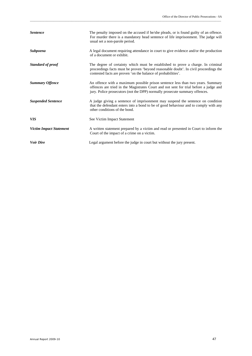| <b>Sentence</b>                | The penalty imposed on the accused if he/she pleads, or is found guilty of an offence.<br>For murder there is a mandatory head sentence of life imprisonment. The judge will<br>usual set a non-parole period.                                          |
|--------------------------------|---------------------------------------------------------------------------------------------------------------------------------------------------------------------------------------------------------------------------------------------------------|
| <b>Subpoena</b>                | A legal document requiring attendance in court to give evidence and/or the production<br>of a document or exhibit.                                                                                                                                      |
| Standard of proof              | The degree of certainty which must be established to prove a charge. In criminal<br>proceedings facts must be proven 'beyond reasonable doubt'. In civil proceedings the<br>contested facts are proven 'on the balance of probabilities'.               |
| <b>Summary Offence</b>         | An offence with a maximum possible prison sentence less than two years. Summary<br>offences are tried in the Magistrates Court and not sent for trial before a judge and<br>jury. Police prosecutors (not the DPP) normally prosecute summary offences. |
| <b>Suspended Sentence</b>      | A judge giving a sentence of imprisonment may suspend the sentence on condition<br>that the defendant enters into a bond to be of good behaviour and to comply with any<br>other conditions of the bond.                                                |
| <b>VIS</b>                     | See Victim Impact Statement                                                                                                                                                                                                                             |
| <b>Victim Impact Statement</b> | A written statement prepared by a victim and read or presented in Court to inform the<br>Court of the impact of a crime on a victim.                                                                                                                    |
| <b>Voir Dire</b>               | Legal argument before the judge in court but without the jury present.                                                                                                                                                                                  |

\_\_\_\_\_\_\_\_\_\_\_\_\_\_\_\_\_\_\_\_\_\_\_\_\_\_\_\_\_\_\_\_\_\_\_\_\_\_\_\_\_\_\_\_\_\_\_\_\_\_\_\_\_\_\_\_\_\_\_\_\_\_\_\_\_\_\_\_\_\_\_\_\_\_\_\_\_\_\_\_\_\_\_\_\_\_\_\_\_\_\_\_\_\_\_\_\_\_\_\_\_\_\_\_\_\_\_\_\_\_\_\_\_\_\_\_\_\_\_\_\_\_\_\_\_\_\_\_\_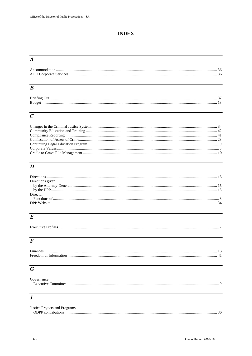### **INDEX**

### $\overline{A}$

### $\overline{B}$

| Budget |  |
|--------|--|
|        |  |

### $\overline{C}$

### $\overline{D}$

| Directions given |  |
|------------------|--|
|                  |  |
|                  |  |
| Director         |  |
|                  |  |
|                  |  |

# $\overline{E}$

| <b>Executive Profiles</b> |  |
|---------------------------|--|
|                           |  |

### $\overline{F}$

| T.<br>Finances |  |
|----------------|--|
|                |  |

# $\overline{G}$

| Governance |  |
|------------|--|
|            |  |

### $\overline{\overline{J}}$

| Justice Projects and Programs |  |
|-------------------------------|--|
| ODPP contributions            |  |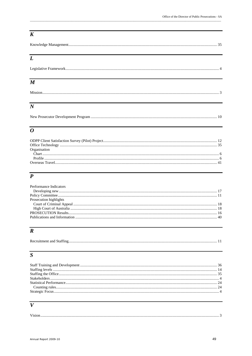### $\overline{K}$

|--|

### $\overline{L}$

| $\boldsymbol{M}$ |  |
|------------------|--|
|                  |  |
| $\boldsymbol{N}$ |  |

### 

### $\overline{o}$

| Organisation |  |
|--------------|--|
|              |  |
|              |  |
|              |  |
|              |  |

### $\overline{P}$

| Performance Indicators |  |
|------------------------|--|
|                        |  |
|                        |  |
| Prosecution highlights |  |
|                        |  |
|                        |  |
|                        |  |
|                        |  |
|                        |  |

# $\overline{R}$

| Recruitment and Staffing. |  |
|---------------------------|--|
|---------------------------|--|

### $\overline{s}$

### $\overline{V}$